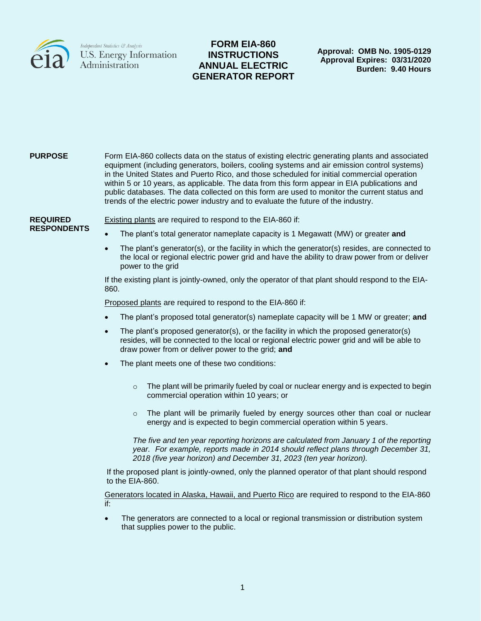

# **FORM EIA-860 INSTRUCTIONS ANNUAL ELECTRIC GENERATOR REPORT**

**Approval: OMB No. 1905-0129 Approval Expires: 03/31/2020 Burden: 9.40 Hours**

# **PURPOSE** Form EIA-860 collects data on the status of existing electric generating plants and associated equipment (including generators, boilers, cooling systems and air emission control systems) in the United States and Puerto Rico, and those scheduled for initial commercial operation within 5 or 10 years, as applicable. The data from this form appear in EIA publications and public databases*.* The data collected on this form are used to monitor the current status and trends of the electric power industry and to evaluate the future of the industry. **REQUIRED RESPONDENTS** Existing plants are required to respond to the EIA-860 if: The plant's total generator nameplate capacity is 1 Megawatt (MW) or greater **and**  The plant's generator(s), or the facility in which the generator(s) resides, are connected to the local or regional electric power grid and have the ability to draw power from or deliver power to the grid If the existing plant is jointly-owned, only the operator of that plant should respond to the EIA-860. Proposed plants are required to respond to the EIA-860 if: The plant's proposed total generator(s) nameplate capacity will be 1 MW or greater; **and** The plant's proposed generator(s), or the facility in which the proposed generator(s) resides, will be connected to the local or regional electric power grid and will be able to draw power from or deliver power to the grid; **and** The plant meets one of these two conditions:  $\circ$  The plant will be primarily fueled by coal or nuclear energy and is expected to begin commercial operation within 10 years; or  $\circ$  The plant will be primarily fueled by energy sources other than coal or nuclear energy and is expected to begin commercial operation within 5 years.

*The five and ten year reporting horizons are calculated from January 1 of the reporting year. For example, reports made in 2014 should reflect plans through December 31, 2018 (five year horizon) and December 31, 2023 (ten year horizon).*

If the proposed plant is jointly-owned, only the planned operator of that plant should respond to the EIA-860.

Generators located in Alaska, Hawaii, and Puerto Rico are required to respond to the EIA-860 if:

• The generators are connected to a local or regional transmission or distribution system that supplies power to the public.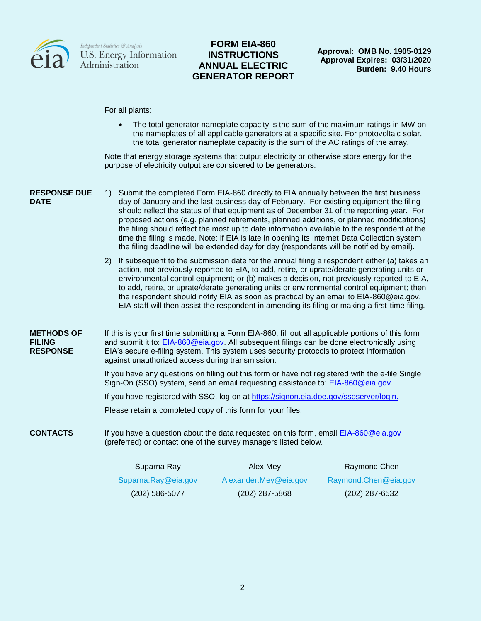

### **FORM EIA-860 INSTRUCTIONS ANNUAL ELECTRIC GENERATOR REPORT**

**Approval: OMB No. 1905-0129 Approval Expires: 03/31/2020 Burden: 9.40 Hours**

#### For all plants:

 The total generator nameplate capacity is the sum of the maximum ratings in MW on the nameplates of all applicable generators at a specific site. For photovoltaic solar, the total generator nameplate capacity is the sum of the AC ratings of the array.

Note that energy storage systems that output electricity or otherwise store energy for the purpose of electricity output are considered to be generators.

#### **RESPONSE DUE DATE**

- 1) Submit the completed Form EIA-860 directly to EIA annually between the first business day of January and the last business day of February. For existing equipment the filing should reflect the status of that equipment as of December 31 of the reporting year. For proposed actions (e.g. planned retirements, planned additions, or planned modifications) the filing should reflect the most up to date information available to the respondent at the time the filing is made. Note: if EIA is late in opening its Internet Data Collection system the filing deadline will be extended day for day (respondents will be notified by email).
	- 2) If subsequent to the submission date for the annual filing a respondent either (a) takes an action, not previously reported to EIA, to add, retire, or uprate/derate generating units or environmental control equipment; or (b) makes a decision, not previously reported to EIA, to add, retire, or uprate/derate generating units or environmental control equipment; then the respondent should notify EIA as soon as practical by an email to EIA-860@eia.gov. EIA staff will then assist the respondent in amending its filing or making a first-time filing.

**METHODS OF FILING RESPONSE** If this is your first time submitting a Form EIA-860, fill out all applicable portions of this form and submit it to: [EIA-860@eia.gov.](mailto:EIA-860@eia.gov) All subsequent filings can be done electronically using EIA's secure e-filing system. This system uses security protocols to protect information against unauthorized access during transmission.

> If you have any questions on filling out this form or have not registered with the e-file Single Sign-On (SSO) system, send an email requesting assistance to: [EIA-860@eia.gov.](mailto:EIA-860@eia.gov)

If you have registered with SSO, log on at [https://signon.eia.doe.gov/ssoserver/login.](https://signon.eia.gov/ssoserver/login)

Please retain a completed copy of this form for your files.

**CONTACTS** If you have a question about the data requested on this form, email [EIA-860@eia.gov](mailto:EIA-860@eia.gov) (preferred) or contact one of the survey managers listed below.

| Suparna Ray         | Alex Mey              | Raymond Chen         |
|---------------------|-----------------------|----------------------|
| Suparna.Ray@eia.gov | Alexander.Mey@eia.gov | Raymond.Chen@eia.gov |
| (202) 586-5077      | $(202)$ 287-5868      | (202) 287-6532       |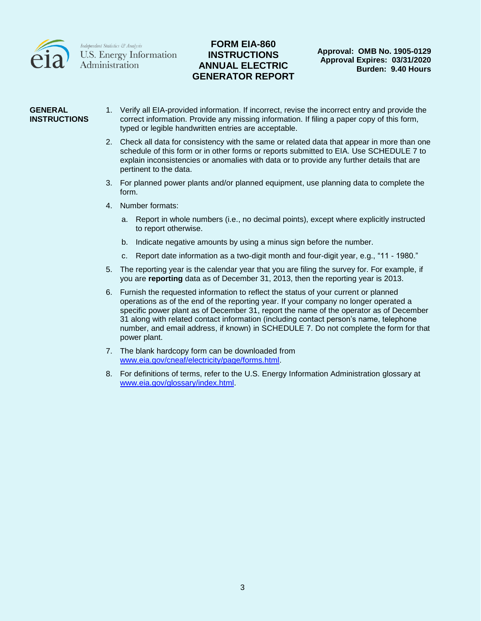

## **FORM EIA-860 INSTRUCTIONS ANNUAL ELECTRIC GENERATOR REPORT**

### **GENERAL INSTRUCTIONS**

- 1. Verify all EIA-provided information. If incorrect, revise the incorrect entry and provide the correct information. Provide any missing information. If filing a paper copy of this form, typed or legible handwritten entries are acceptable.
	- 2. Check all data for consistency with the same or related data that appear in more than one schedule of this form or in other forms or reports submitted to EIA. Use SCHEDULE 7 to explain inconsistencies or anomalies with data or to provide any further details that are pertinent to the data.
	- 3. For planned power plants and/or planned equipment, use planning data to complete the form.
	- 4. Number formats:
		- a. Report in whole numbers (i.e., no decimal points), except where explicitly instructed to report otherwise.
		- b. Indicate negative amounts by using a minus sign before the number.
		- c. Report date information as a two-digit month and four-digit year, e.g., "11 1980."
	- 5. The reporting year is the calendar year that you are filing the survey for. For example, if you are **reporting** data as of December 31, 2013, then the reporting year is 2013.
	- 6. Furnish the requested information to reflect the status of your current or planned operations as of the end of the reporting year. If your company no longer operated a specific power plant as of December 31, report the name of the operator as of December 31 along with related contact information (including contact person's name, telephone number, and email address, if known) in SCHEDULE 7. Do not complete the form for that power plant.
	- 7. The blank hardcopy form can be downloaded from [www.eia.gov/cneaf/electricity/page/forms.html.](http://www.eia.gov/cneaf/electricity/page/forms.html)
	- 8. For definitions of terms, refer to the U.S. Energy Information Administration glossary at [www.eia.gov/glossary/index.html.](http://www.eia.gov/glossary/index.html)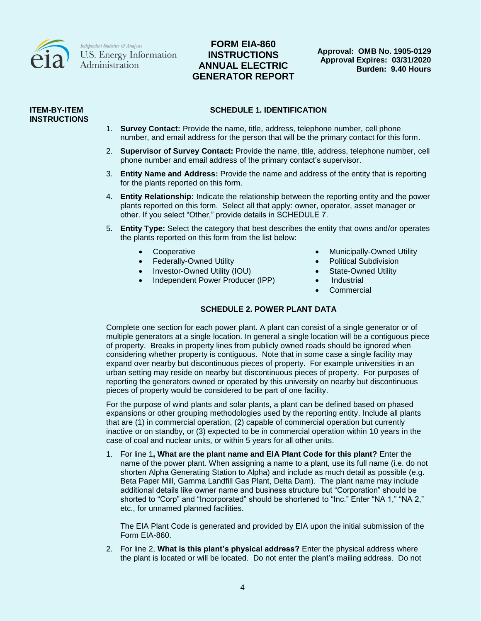

# **FORM EIA-860 INSTRUCTIONS ANNUAL ELECTRIC GENERATOR REPORT**

**Approval: OMB No. 1905-0129 Approval Expires: 03/31/2020 Burden: 9.40 Hours**

#### **ITEM-BY-ITEM INSTRUCTIONS**

### **SCHEDULE 1. IDENTIFICATION**

- 1. **Survey Contact:** Provide the name, title, address, telephone number, cell phone number, and email address for the person that will be the primary contact for this form.
- 2. **Supervisor of Survey Contact:** Provide the name, title, address, telephone number, cell phone number and email address of the primary contact's supervisor.
- 3. **Entity Name and Address:** Provide the name and address of the entity that is reporting for the plants reported on this form.
- 4. **Entity Relationship:** Indicate the relationship between the reporting entity and the power plants reported on this form. Select all that apply: owner, operator, asset manager or other. If you select "Other," provide details in SCHEDULE 7.
- 5. **Entity Type:** Select the category that best describes the entity that owns and/or operates the plants reported on this form from the list below:
	-
	- Federally-Owned Utility **Access 19 and Subdivision Political Subdivision**
	- Investor-Owned Utility (IOU) <br>
	State-Owned Utility (IOU)
	- Independent Power Producer (IPP) Industrial
- Cooperative **Cooperative Cooperative Municipally-Owned Utility** 
	-
	-
	-
	- **Commercial**

### **SCHEDULE 2. POWER PLANT DATA**

Complete one section for each power plant. A plant can consist of a single generator or of multiple generators at a single location. In general a single location will be a contiguous piece of property. Breaks in property lines from publicly owned roads should be ignored when considering whether property is contiguous. Note that in some case a single facility may expand over nearby but discontinuous pieces of property. For example universities in an urban setting may reside on nearby but discontinuous pieces of property. For purposes of reporting the generators owned or operated by this university on nearby but discontinuous pieces of property would be considered to be part of one facility.

For the purpose of wind plants and solar plants, a plant can be defined based on phased expansions or other grouping methodologies used by the reporting entity. Include all plants that are (1) in commercial operation, (2) capable of commercial operation but currently inactive or on standby, or (3) expected to be in commercial operation within 10 years in the case of coal and nuclear units, or within 5 years for all other units.

1. For line 1**, What are the plant name and EIA Plant Code for this plant?** Enter the name of the power plant. When assigning a name to a plant, use its full name (i.e. do not shorten Alpha Generating Station to Alpha) and include as much detail as possible (e.g. Beta Paper Mill, Gamma Landfill Gas Plant, Delta Dam). The plant name may include additional details like owner name and business structure but "Corporation" should be shorted to "Corp" and "Incorporated" should be shortened to "Inc." Enter "NA 1," "NA 2," etc., for unnamed planned facilities.

The EIA Plant Code is generated and provided by EIA upon the initial submission of the Form EIA-860.

2. For line 2, **What is this plant's physical address?** Enter the physical address where the plant is located or will be located. Do not enter the plant's mailing address. Do not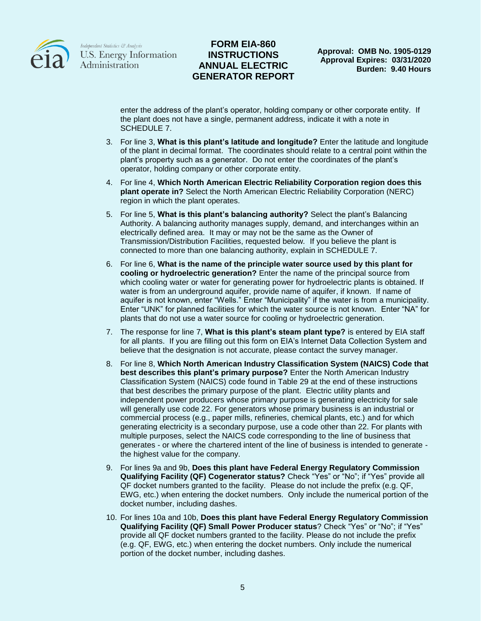

### **FORM EIA-860 INSTRUCTIONS ANNUAL ELECTRIC GENERATOR REPORT**

enter the address of the plant's operator, holding company or other corporate entity. If the plant does not have a single, permanent address, indicate it with a note in SCHEDULE 7.

- 3. For line 3, **What is this plant's latitude and longitude?** Enter the latitude and longitude of the plant in decimal format. The coordinates should relate to a central point within the plant's property such as a generator. Do not enter the coordinates of the plant's operator, holding company or other corporate entity.
- 4. For line 4, **Which North American Electric Reliability Corporation region does this plant operate in?** Select the North American Electric Reliability Corporation (NERC) region in which the plant operates.
- 5. For line 5, **What is this plant's balancing authority?** Select the plant's Balancing Authority. A balancing authority manages supply, demand, and interchanges within an electrically defined area. It may or may not be the same as the Owner of Transmission/Distribution Facilities, requested below. If you believe the plant is connected to more than one balancing authority, explain in SCHEDULE 7.
- 6. For line 6, **What is the name of the principle water source used by this plant for cooling or hydroelectric generation?** Enter the name of the principal source from which cooling water or water for generating power for hydroelectric plants is obtained. If water is from an underground aquifer, provide name of aquifer, if known. If name of aquifer is not known, enter "Wells." Enter "Municipality" if the water is from a municipality. Enter "UNK" for planned facilities for which the water source is not known. Enter "NA" for plants that do not use a water source for cooling or hydroelectric generation.
- 7. The response for line 7, **What is this plant's steam plant type?** is entered by EIA staff for all plants. If you are filling out this form on EIA's Internet Data Collection System and believe that the designation is not accurate, please contact the survey manager.
- 8. For line 8, **Which North American Industry Classification System (NAICS) Code that best describes this plant's primary purpose?** Enter the North American Industry Classification System (NAICS) code found in Table 29 at the end of these instructions that best describes the primary purpose of the plant. Electric utility plants and independent power producers whose primary purpose is generating electricity for sale will generally use code 22. For generators whose primary business is an industrial or commercial process (e.g., paper mills, refineries, chemical plants, etc.) and for which generating electricity is a secondary purpose, use a code other than 22. For plants with multiple purposes, select the NAICS code corresponding to the line of business that generates - or where the chartered intent of the line of business is intended to generate the highest value for the company.
- 9. For lines 9a and 9b, **Does this plant have Federal Energy Regulatory Commission Qualifying Facility (QF) Cogenerator status?** Check "Yes" or "No"; if "Yes" provide all QF docket numbers granted to the facility. Please do not include the prefix (e.g. QF, EWG, etc.) when entering the docket numbers. Only include the numerical portion of the docket number, including dashes.
- 10. For lines 10a and 10b, **Does this plant have Federal Energy Regulatory Commission Qualifying Facility (QF) Small Power Producer status**? Check "Yes" or "No"; if "Yes" provide all QF docket numbers granted to the facility. Please do not include the prefix (e.g. QF, EWG, etc.) when entering the docket numbers. Only include the numerical portion of the docket number, including dashes.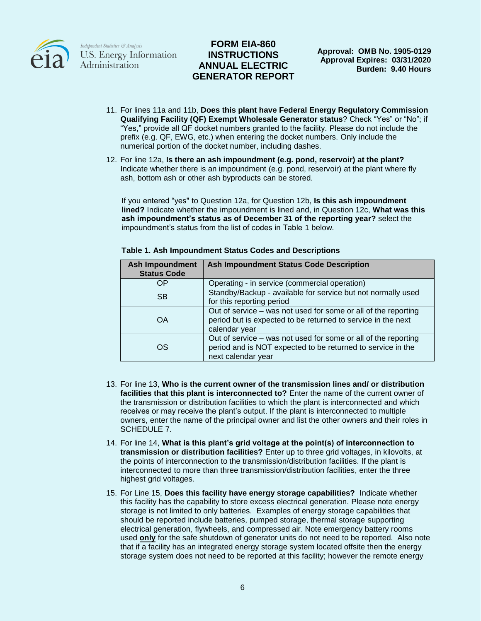

## **FORM EIA-860 INSTRUCTIONS ANNUAL ELECTRIC GENERATOR REPORT**

- 11. For lines 11a and 11b, **Does this plant have Federal Energy Regulatory Commission Qualifying Facility (QF) Exempt Wholesale Generator status**? Check "Yes" or "No"; if "Yes," provide all QF docket numbers granted to the facility. Please do not include the prefix (e.g. QF, EWG, etc.) when entering the docket numbers. Only include the numerical portion of the docket number, including dashes.
- 12. For line 12a, **Is there an ash impoundment (e.g. pond, reservoir) at the plant?** Indicate whether there is an impoundment (e.g. pond, reservoir) at the plant where fly ash, bottom ash or other ash byproducts can be stored.

If you entered "yes" to Question 12a, for Question 12b, **Is this ash impoundment lined?** Indicate whether the impoundment is lined and, in Question 12c, **What was this ash impoundment's status as of December 31 of the reporting year?** select the impoundment's status from the list of codes in Table 1 below.

| <b>Ash Impoundment</b><br><b>Status Code</b> | <b>Ash Impoundment Status Code Description</b>                                                                                                      |
|----------------------------------------------|-----------------------------------------------------------------------------------------------------------------------------------------------------|
| OΡ                                           | Operating - in service (commercial operation)                                                                                                       |
| <b>SB</b>                                    | Standby/Backup - available for service but not normally used<br>for this reporting period                                                           |
| OA                                           | Out of service - was not used for some or all of the reporting<br>period but is expected to be returned to service in the next<br>calendar year     |
| OS                                           | Out of service – was not used for some or all of the reporting<br>period and is NOT expected to be returned to service in the<br>next calendar year |

### **Table 1. Ash Impoundment Status Codes and Descriptions**

- 13. For line 13, **Who is the current owner of the transmission lines and/ or distribution facilities that this plant is interconnected to?** Enter the name of the current owner of the transmission or distribution facilities to which the plant is interconnected and which receives or may receive the plant's output. If the plant is interconnected to multiple owners, enter the name of the principal owner and list the other owners and their roles in SCHEDULE 7.
- 14. For line 14, **What is this plant's grid voltage at the point(s) of interconnection to transmission or distribution facilities?** Enter up to three grid voltages, in kilovolts, at the points of interconnection to the transmission/distribution facilities. If the plant is interconnected to more than three transmission/distribution facilities, enter the three highest grid voltages.
- 15. For Line 15, **Does this facility have energy storage capabilities?** Indicate whether this facility has the capability to store excess electrical generation. Please note energy storage is not limited to only batteries. Examples of energy storage capabilities that should be reported include batteries, pumped storage, thermal storage supporting electrical generation, flywheels, and compressed air. Note emergency battery rooms used **only** for the safe shutdown of generator units do not need to be reported. Also note that if a facility has an integrated energy storage system located offsite then the energy storage system does not need to be reported at this facility; however the remote energy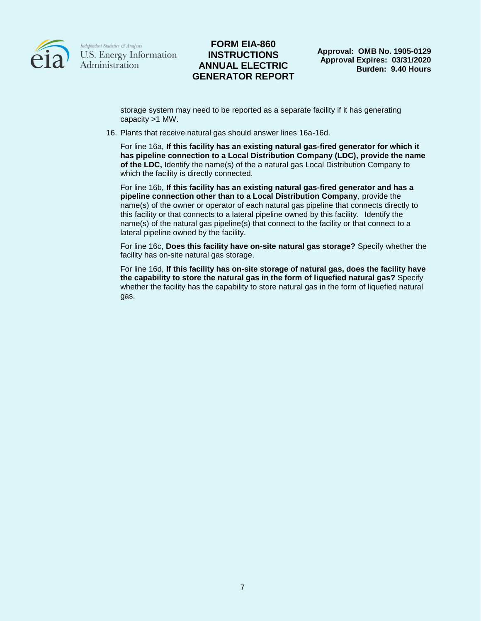

### **FORM EIA-860 INSTRUCTIONS ANNUAL ELECTRIC GENERATOR REPORT**

storage system may need to be reported as a separate facility if it has generating capacity >1 MW.

16. Plants that receive natural gas should answer lines 16a-16d.

For line 16a, **If this facility has an existing natural gas-fired generator for which it has pipeline connection to a Local Distribution Company (LDC), provide the name of the LDC,** Identify the name(s) of the a natural gas Local Distribution Company to which the facility is directly connected.

For line 16b, **If this facility has an existing natural gas-fired generator and has a pipeline connection other than to a Local Distribution Company**, provide the name(s) of the owner or operator of each natural gas pipeline that connects directly to this facility or that connects to a lateral pipeline owned by this facility. Identify the name(s) of the natural gas pipeline(s) that connect to the facility or that connect to a lateral pipeline owned by the facility.

For line 16c, **Does this facility have on-site natural gas storage?** Specify whether the facility has on-site natural gas storage.

For line 16d, **If this facility has on-site storage of natural gas, does the facility have the capability to store the natural gas in the form of liquefied natural gas?** Specify whether the facility has the capability to store natural gas in the form of liquefied natural gas.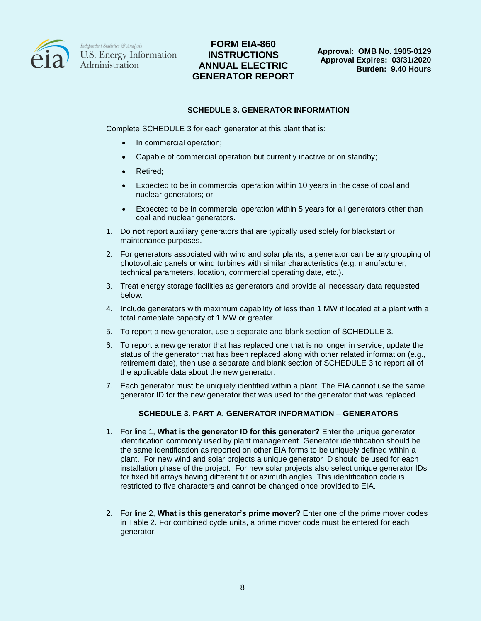

## **FORM EIA-860 INSTRUCTIONS ANNUAL ELECTRIC GENERATOR REPORT**

#### **SCHEDULE 3. GENERATOR INFORMATION**

Complete SCHEDULE 3 for each generator at this plant that is:

- In commercial operation;
- Capable of commercial operation but currently inactive or on standby;
- Retired;
- Expected to be in commercial operation within 10 years in the case of coal and nuclear generators; or
- Expected to be in commercial operation within 5 years for all generators other than coal and nuclear generators.
- 1. Do **not** report auxiliary generators that are typically used solely for blackstart or maintenance purposes.
- 2. For generators associated with wind and solar plants, a generator can be any grouping of photovoltaic panels or wind turbines with similar characteristics (e.g. manufacturer, technical parameters, location, commercial operating date, etc.).
- 3. Treat energy storage facilities as generators and provide all necessary data requested below.
- 4. Include generators with maximum capability of less than 1 MW if located at a plant with a total nameplate capacity of 1 MW or greater.
- 5. To report a new generator, use a separate and blank section of SCHEDULE 3.
- 6. To report a new generator that has replaced one that is no longer in service, update the status of the generator that has been replaced along with other related information (e.g., retirement date), then use a separate and blank section of SCHEDULE 3 to report all of the applicable data about the new generator.
- 7. Each generator must be uniquely identified within a plant. The EIA cannot use the same generator ID for the new generator that was used for the generator that was replaced.

### **SCHEDULE 3. PART A. GENERATOR INFORMATION – GENERATORS**

- 1. For line 1, **What is the generator ID for this generator?** Enter the unique generator identification commonly used by plant management. Generator identification should be the same identification as reported on other EIA forms to be uniquely defined within a plant. For new wind and solar projects a unique generator ID should be used for each installation phase of the project. For new solar projects also select unique generator IDs for fixed tilt arrays having different tilt or azimuth angles. This identification code is restricted to five characters and cannot be changed once provided to EIA.
- 2. For line 2, **What is this generator's prime mover?** Enter one of the prime mover codes in Table 2. For combined cycle units, a prime mover code must be entered for each generator.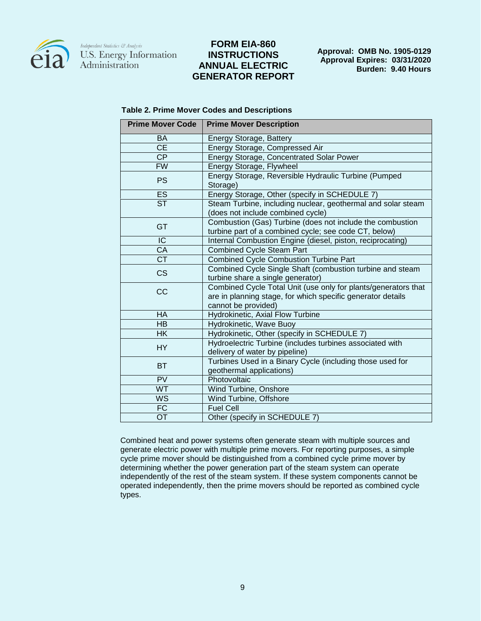

## **FORM EIA-860 INSTRUCTIONS ANNUAL ELECTRIC GENERATOR REPORT**

**Approval: OMB No. 1905-0129 Approval Expires: 03/31/2020 Burden: 9.40 Hours**

| <b>Table 2. Prime Mover Codes and Descriptions</b> |  |  |
|----------------------------------------------------|--|--|
|----------------------------------------------------|--|--|

| <b>Prime Mover Code</b>           | <b>Prime Mover Description</b>                                                                                                                       |
|-----------------------------------|------------------------------------------------------------------------------------------------------------------------------------------------------|
| <b>BA</b>                         | Energy Storage, Battery                                                                                                                              |
| $\overline{\overline{\text{CE}}}$ | Energy Storage, Compressed Air                                                                                                                       |
| <b>CP</b>                         | Energy Storage, Concentrated Solar Power                                                                                                             |
| <b>FW</b>                         | Energy Storage, Flywheel                                                                                                                             |
| <b>PS</b>                         | Energy Storage, Reversible Hydraulic Turbine (Pumped<br>Storage)                                                                                     |
| <b>ES</b>                         | Energy Storage, Other (specify in SCHEDULE 7)                                                                                                        |
| <b>ST</b>                         | Steam Turbine, including nuclear, geothermal and solar steam<br>(does not include combined cycle)                                                    |
| GT                                | Combustion (Gas) Turbine (does not include the combustion<br>turbine part of a combined cycle; see code CT, below)                                   |
| $\overline{C}$                    | Internal Combustion Engine (diesel, piston, reciprocating)                                                                                           |
| CA                                | <b>Combined Cycle Steam Part</b>                                                                                                                     |
| $\overline{\text{CT}}$            | <b>Combined Cycle Combustion Turbine Part</b>                                                                                                        |
| <b>CS</b>                         | Combined Cycle Single Shaft (combustion turbine and steam<br>turbine share a single generator)                                                       |
| CC                                | Combined Cycle Total Unit (use only for plants/generators that<br>are in planning stage, for which specific generator details<br>cannot be provided) |
| <b>HA</b>                         | Hydrokinetic, Axial Flow Turbine                                                                                                                     |
| <b>HB</b>                         | Hydrokinetic, Wave Buoy                                                                                                                              |
| <b>HK</b>                         | Hydrokinetic, Other (specify in SCHEDULE 7)                                                                                                          |
| <b>HY</b>                         | Hydroelectric Turbine (includes turbines associated with<br>delivery of water by pipeline)                                                           |
| <b>BT</b>                         | Turbines Used in a Binary Cycle (including those used for<br>geothermal applications)                                                                |
| PV                                | Photovoltaic                                                                                                                                         |
| <b>WT</b>                         | Wind Turbine, Onshore                                                                                                                                |
| <b>WS</b>                         | Wind Turbine, Offshore                                                                                                                               |
| FC                                | <b>Fuel Cell</b>                                                                                                                                     |
| OT                                | Other (specify in SCHEDULE 7)                                                                                                                        |

Combined heat and power systems often generate steam with multiple sources and generate electric power with multiple prime movers. For reporting purposes, a simple cycle prime mover should be distinguished from a combined cycle prime mover by determining whether the power generation part of the steam system can operate independently of the rest of the steam system. If these system components cannot be operated independently, then the prime movers should be reported as combined cycle types.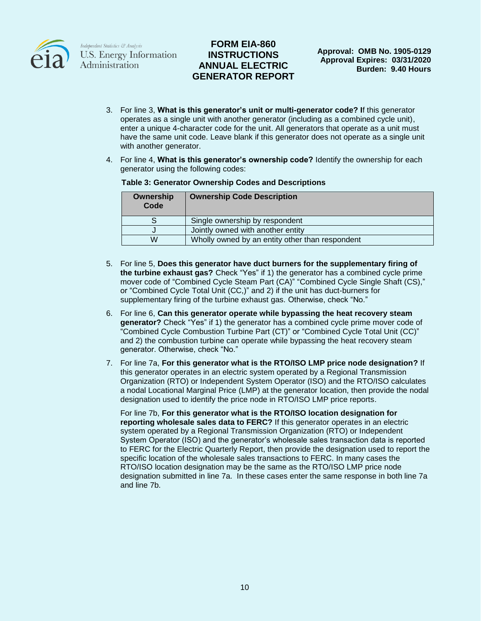

## **FORM EIA-860 INSTRUCTIONS ANNUAL ELECTRIC GENERATOR REPORT**

- 3. For line 3, **What is this generator's unit or multi-generator code? I**f this generator operates as a single unit with another generator (including as a combined cycle unit), enter a unique 4-character code for the unit. All generators that operate as a unit must have the same unit code. Leave blank if this generator does not operate as a single unit with another generator.
- 4. For line 4, **What is this generator's ownership code?** Identify the ownership for each generator using the following codes:

#### **Table 3: Generator Ownership Codes and Descriptions**

| Ownership<br>Code | <b>Ownership Code Description</b>               |
|-------------------|-------------------------------------------------|
|                   | Single ownership by respondent                  |
|                   | Jointly owned with another entity               |
| W                 | Wholly owned by an entity other than respondent |

- 5. For line 5, **Does this generator have duct burners for the supplementary firing of the turbine exhaust gas?** Check "Yes" if 1) the generator has a combined cycle prime mover code of "Combined Cycle Steam Part (CA)" "Combined Cycle Single Shaft (CS)," or "Combined Cycle Total Unit (CC,)" and 2) if the unit has duct-burners for supplementary firing of the turbine exhaust gas. Otherwise, check "No."
- 6. For line 6, **Can this generator operate while bypassing the heat recovery steam generator?** Check "Yes" if 1) the generator has a combined cycle prime mover code of "Combined Cycle Combustion Turbine Part (CT)" or "Combined Cycle Total Unit (CC)" and 2) the combustion turbine can operate while bypassing the heat recovery steam generator. Otherwise, check "No."
- 7. For line 7a, **For this generator what is the RTO/ISO LMP price node designation?** If this generator operates in an electric system operated by a Regional Transmission Organization (RTO) or Independent System Operator (ISO) and the RTO/ISO calculates a nodal Locational Marginal Price (LMP) at the generator location, then provide the nodal designation used to identify the price node in RTO/ISO LMP price reports.

For line 7b, **For this generator what is the RTO/ISO location designation for reporting wholesale sales data to FERC?** If this generator operates in an electric system operated by a Regional Transmission Organization (RTO) or Independent System Operator (ISO) and the generator's wholesale sales transaction data is reported to FERC for the Electric Quarterly Report, then provide the designation used to report the specific location of the wholesale sales transactions to FERC. In many cases the RTO/ISO location designation may be the same as the RTO/ISO LMP price node designation submitted in line 7a. In these cases enter the same response in both line 7a and line 7b.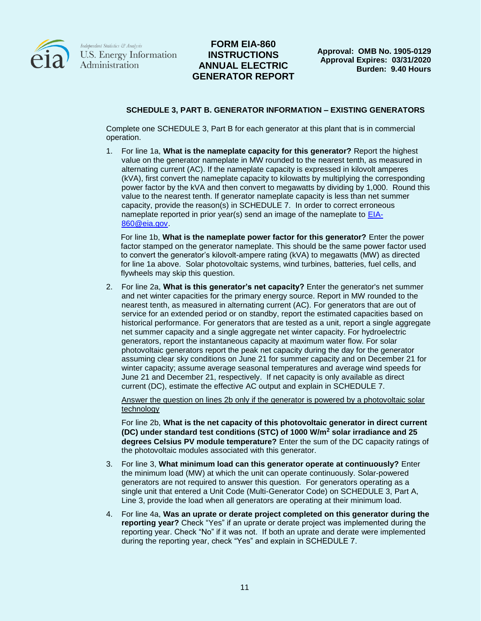

## **FORM EIA-860 INSTRUCTIONS ANNUAL ELECTRIC GENERATOR REPORT**

### **SCHEDULE 3, PART B. GENERATOR INFORMATION – EXISTING GENERATORS**

Complete one SCHEDULE 3, Part B for each generator at this plant that is in commercial operation.

1. For line 1a, **What is the nameplate capacity for this generator?** Report the highest value on the generator nameplate in MW rounded to the nearest tenth, as measured in alternating current (AC). If the nameplate capacity is expressed in kilovolt amperes (kVA), first convert the nameplate capacity to kilowatts by multiplying the corresponding power factor by the kVA and then convert to megawatts by dividing by 1,000. Round this value to the nearest tenth. If generator nameplate capacity is less than net summer capacity, provide the reason(s) in SCHEDULE 7. In order to correct erroneous nameplate reported in prior year(s) send an image of the nameplate to [EIA-](mailto:EIA-860@eia.gov)[860@eia.gov.](mailto:EIA-860@eia.gov)

For line 1b, **What is the nameplate power factor for this generator?** Enter the power factor stamped on the generator nameplate. This should be the same power factor used to convert the generator's kilovolt-ampere rating (kVA) to megawatts (MW) as directed for line 1a above. Solar photovoltaic systems, wind turbines, batteries, fuel cells, and flywheels may skip this question.

2. For line 2a, **What is this generator's net capacity?** Enter the generator's net summer and net winter capacities for the primary energy source. Report in MW rounded to the nearest tenth, as measured in alternating current (AC). For generators that are out of service for an extended period or on standby, report the estimated capacities based on historical performance. For generators that are tested as a unit, report a single aggregate net summer capacity and a single aggregate net winter capacity. For hydroelectric generators, report the instantaneous capacity at maximum water flow. For solar photovoltaic generators report the peak net capacity during the day for the generator assuming clear sky conditions on June 21 for summer capacity and on December 21 for winter capacity; assume average seasonal temperatures and average wind speeds for June 21 and December 21, respectively. If net capacity is only available as direct current (DC), estimate the effective AC output and explain in SCHEDULE 7.

Answer the question on lines 2b only if the generator is powered by a photovoltaic solar technology

For line 2b, **What is the net capacity of this photovoltaic generator in direct current (DC) under standard test conditions (STC) of 1000 W/m<sup>2</sup> solar irradiance and 25 degrees Celsius PV module temperature?** Enter the sum of the DC capacity ratings of the photovoltaic modules associated with this generator.

- 3. For line 3, **What minimum load can this generator operate at continuously?** Enter the minimum load (MW) at which the unit can operate continuously. Solar-powered generators are not required to answer this question. For generators operating as a single unit that entered a Unit Code (Multi-Generator Code) on SCHEDULE 3, Part A, Line 3, provide the load when all generators are operating at their minimum load.
- 4. For line 4a, **Was an uprate or derate project completed on this generator during the reporting year?** Check "Yes" if an uprate or derate project was implemented during the reporting year. Check "No" if it was not. If both an uprate and derate were implemented during the reporting year, check "Yes" and explain in SCHEDULE 7.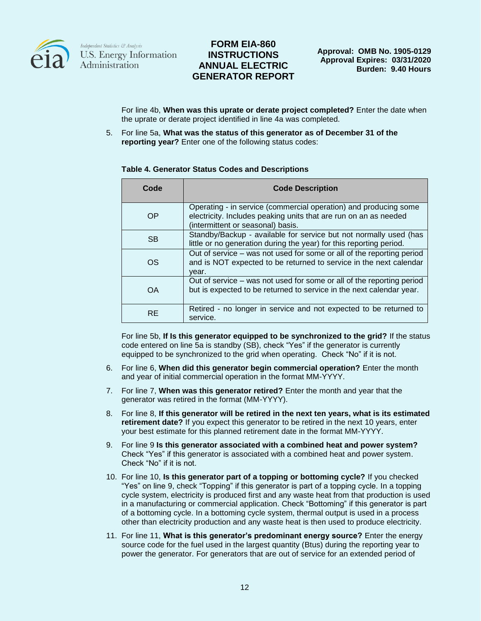

## **FORM EIA-860 INSTRUCTIONS ANNUAL ELECTRIC GENERATOR REPORT**

For line 4b, **When was this uprate or derate project completed?** Enter the date when the uprate or derate project identified in line 4a was completed.

5. For line 5a, **What was the status of this generator as of December 31 of the reporting year?** Enter one of the following status codes:

### **Table 4. Generator Status Codes and Descriptions**

| Code      | <b>Code Description</b>                                                                                                                                                   |
|-----------|---------------------------------------------------------------------------------------------------------------------------------------------------------------------------|
| OP        | Operating - in service (commercial operation) and producing some<br>electricity. Includes peaking units that are run on an as needed<br>(intermittent or seasonal) basis. |
| <b>SB</b> | Standby/Backup - available for service but not normally used (has<br>little or no generation during the year) for this reporting period.                                  |
| OS        | Out of service – was not used for some or all of the reporting period<br>and is NOT expected to be returned to service in the next calendar<br>vear.                      |
| OΑ        | Out of service – was not used for some or all of the reporting period<br>but is expected to be returned to service in the next calendar year.                             |
| <b>RE</b> | Retired - no longer in service and not expected to be returned to<br>service.                                                                                             |

For line 5b, **If Is this generator equipped to be synchronized to the grid?** If the status code entered on line 5a is standby (SB), check "Yes" if the generator is currently equipped to be synchronized to the grid when operating. Check "No" if it is not.

- 6. For line 6, **When did this generator begin commercial operation?** Enter the month and year of initial commercial operation in the format MM-YYYY.
- 7. For line 7, **When was this generator retired?** Enter the month and year that the generator was retired in the format (MM-YYYY).
- 8. For line 8, **If this generator will be retired in the next ten years, what is its estimated retirement date?** If you expect this generator to be retired in the next 10 years, enter your best estimate for this planned retirement date in the format MM-YYYY.
- 9. For line 9 **Is this generator associated with a combined heat and power system?** Check "Yes" if this generator is associated with a combined heat and power system. Check "No" if it is not.
- 10. For line 10, **Is this generator part of a topping or bottoming cycle?** If you checked "Yes" on line 9, check "Topping" if this generator is part of a topping cycle. In a topping cycle system, electricity is produced first and any waste heat from that production is used in a manufacturing or commercial application. Check "Bottoming" if this generator is part of a bottoming cycle. In a bottoming cycle system, thermal output is used in a process other than electricity production and any waste heat is then used to produce electricity.
- 11. For line 11, **What is this generator's predominant energy source?** Enter the energy source code for the fuel used in the largest quantity (Btus) during the reporting year to power the generator. For generators that are out of service for an extended period of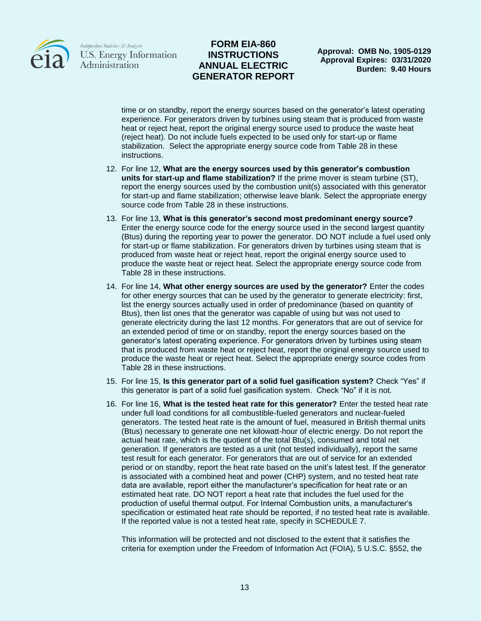

### **FORM EIA-860 INSTRUCTIONS ANNUAL ELECTRIC GENERATOR REPORT**

**Approval: OMB No. 1905-0129 Approval Expires: 03/31/2020 Burden: 9.40 Hours**

time or on standby, report the energy sources based on the generator's latest operating experience. For generators driven by turbines using steam that is produced from waste heat or reject heat, report the original energy source used to produce the waste heat (reject heat). Do not include fuels expected to be used only for start-up or flame stabilization. Select the appropriate energy source code from Table 28 in these instructions.

- 12. For line 12, **What are the energy sources used by this generator's combustion units for start-up and flame stabilization?** If the prime mover is steam turbine (ST), report the energy sources used by the combustion unit(s) associated with this generator for start-up and flame stabilization; otherwise leave blank. Select the appropriate energy source code from Table 28 in these instructions.
- 13. For line 13, **What is this generator's second most predominant energy source?** Enter the energy source code for the energy source used in the second largest quantity (Btus) during the reporting year to power the generator. DO NOT include a fuel used only for start-up or flame stabilization. For generators driven by turbines using steam that is produced from waste heat or reject heat, report the original energy source used to produce the waste heat or reject heat. Select the appropriate energy source code from Table 28 in these instructions.
- 14. For line 14, **What other energy sources are used by the generator?** Enter the codes for other energy sources that can be used by the generator to generate electricity: first, list the energy sources actually used in order of predominance (based on quantity of Btus), then list ones that the generator was capable of using but was not used to generate electricity during the last 12 months. For generators that are out of service for an extended period of time or on standby, report the energy sources based on the generator's latest operating experience. For generators driven by turbines using steam that is produced from waste heat or reject heat, report the original energy source used to produce the waste heat or reject heat. Select the appropriate energy source codes from Table 28 in these instructions.
- 15. For line 15, **Is this generator part of a solid fuel gasification system?** Check "Yes" if this generator is part of a solid fuel gasification system. Check "No" if it is not.
- 16. For line 16, **What is the tested heat rate for this generator?** Enter the tested heat rate under full load conditions for all combustible-fueled generators and nuclear-fueled generators. The tested heat rate is the amount of fuel, measured in British thermal units (Btus) necessary to generate one net kilowatt-hour of electric energy. Do not report the actual heat rate, which is the quotient of the total Btu(s), consumed and total net generation. If generators are tested as a unit (not tested individually), report the same test result for each generator. For generators that are out of service for an extended period or on standby, report the heat rate based on the unit's latest test. If the generator is associated with a combined heat and power (CHP) system, and no tested heat rate data are available, report either the manufacturer's specification for heat rate or an estimated heat rate. DO NOT report a heat rate that includes the fuel used for the production of useful thermal output. For Internal Combustion units, a manufacturer's specification or estimated heat rate should be reported, if no tested heat rate is available. If the reported value is not a tested heat rate, specify in SCHEDULE 7.

This information will be protected and not disclosed to the extent that it satisfies the criteria for exemption under the Freedom of Information Act (FOIA), 5 U.S.C. §552, the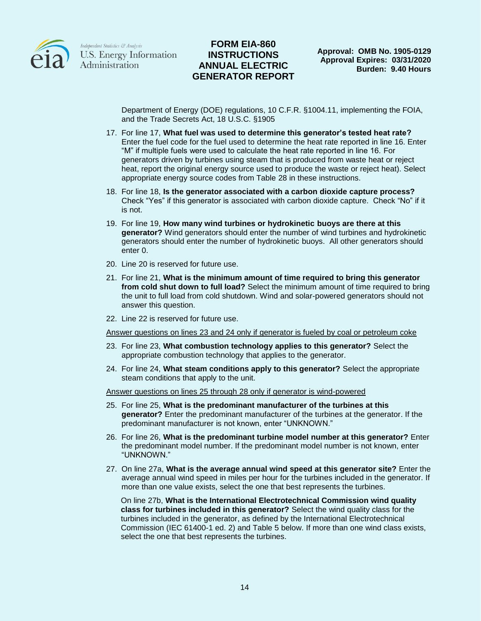

### **FORM EIA-860 INSTRUCTIONS ANNUAL ELECTRIC GENERATOR REPORT**

Department of Energy (DOE) regulations, 10 C.F.R. §1004.11, implementing the FOIA, and the Trade Secrets Act, 18 U.S.C. §1905

- 17. For line 17, **What fuel was used to determine this generator's tested heat rate?** Enter the fuel code for the fuel used to determine the heat rate reported in line 16. Enter "M" if multiple fuels were used to calculate the heat rate reported in line 16. For generators driven by turbines using steam that is produced from waste heat or reject heat, report the original energy source used to produce the waste or reject heat). Select appropriate energy source codes from Table 28 in these instructions.
- 18. For line 18, **Is the generator associated with a carbon dioxide capture process?** Check "Yes" if this generator is associated with carbon dioxide capture. Check "No" if it is not.
- 19. For line 19, **How many wind turbines or hydrokinetic buoys are there at this generator?** Wind generators should enter the number of wind turbines and hydrokinetic generators should enter the number of hydrokinetic buoys. All other generators should enter 0.
- 20. Line 20 is reserved for future use.
- 21. For line 21, **What is the minimum amount of time required to bring this generator from cold shut down to full load?** Select the minimum amount of time required to bring the unit to full load from cold shutdown. Wind and solar-powered generators should not answer this question.
- 22. Line 22 is reserved for future use.

Answer questions on lines 23 and 24 only if generator is fueled by coal or petroleum coke

- 23. For line 23, **What combustion technology applies to this generator?** Select the appropriate combustion technology that applies to the generator.
- 24. For line 24, **What steam conditions apply to this generator?** Select the appropriate steam conditions that apply to the unit.

Answer questions on lines 25 through 28 only if generator is wind-powered

- 25. For line 25, **What is the predominant manufacturer of the turbines at this generator?** Enter the predominant manufacturer of the turbines at the generator. If the predominant manufacturer is not known, enter "UNKNOWN."
- 26. For line 26, **What is the predominant turbine model number at this generator?** Enter the predominant model number. If the predominant model number is not known, enter "UNKNOWN."
- 27. On line 27a, **What is the average annual wind speed at this generator site?** Enter the average annual wind speed in miles per hour for the turbines included in the generator. If more than one value exists, select the one that best represents the turbines.

On line 27b, **What is the International Electrotechnical Commission wind quality class for turbines included in this generator?** Select the wind quality class for the turbines included in the generator, as defined by the International Electrotechnical Commission (IEC 61400-1 ed. 2) and Table 5 below. If more than one wind class exists, select the one that best represents the turbines.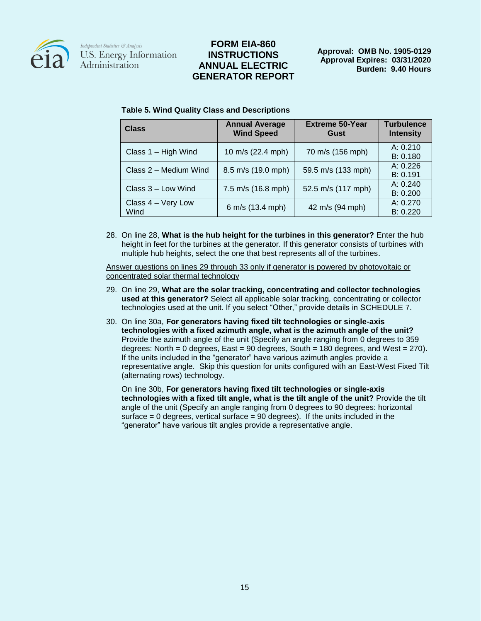

### **FORM EIA-860 INSTRUCTIONS ANNUAL ELECTRIC GENERATOR REPORT**

**Approval: OMB No. 1905-0129 Approval Expires: 03/31/2020 Burden: 9.40 Hours**

| <b>Class</b>               | <b>Annual Average</b><br><b>Wind Speed</b> | <b>Extreme 50-Year</b><br>Gust | <b>Turbulence</b><br><b>Intensity</b> |
|----------------------------|--------------------------------------------|--------------------------------|---------------------------------------|
| Class 1 - High Wind        | 10 m/s (22.4 mph)                          | 70 m/s (156 mph)               | A: 0.210<br>B: 0.180                  |
| Class 2 – Medium Wind      | 8.5 m/s (19.0 mph)                         | 59.5 m/s (133 mph)             | A: 0.226<br>B: 0.191                  |
| Class 3 - Low Wind         | 7.5 m/s (16.8 mph)                         | 52.5 m/s (117 mph)             | A: 0.240<br>B: 0.200                  |
| Class 4 - Very Low<br>Wind | 6 m/s (13.4 mph)                           | 42 m/s (94 mph)                | A: 0.270<br>B: 0.220                  |

#### **Table 5. Wind Quality Class and Descriptions**

28. On line 28, **What is the hub height for the turbines in this generator?** Enter the hub height in feet for the turbines at the generator. If this generator consists of turbines with multiple hub heights, select the one that best represents all of the turbines.

Answer questions on lines 29 through 33 only if generator is powered by photovoltaic or concentrated solar thermal technology

- 29. On line 29, **What are the solar tracking, concentrating and collector technologies used at this generator?** Select all applicable solar tracking, concentrating or collector technologies used at the unit. If you select "Other," provide details in SCHEDULE 7.
- 30. On line 30a, **For generators having fixed tilt technologies or single-axis technologies with a fixed azimuth angle, what is the azimuth angle of the unit?** Provide the azimuth angle of the unit (Specify an angle ranging from 0 degrees to 359 degrees: North = 0 degrees, East =  $90$  degrees, South =  $180$  degrees, and West =  $270$ ). If the units included in the "generator" have various azimuth angles provide a representative angle. Skip this question for units configured with an East-West Fixed Tilt (alternating rows) technology.

On line 30b, **For generators having fixed tilt technologies or single-axis technologies with a fixed tilt angle, what is the tilt angle of the unit?** Provide the tilt angle of the unit (Specify an angle ranging from 0 degrees to 90 degrees: horizontal surface  $= 0$  degrees, vertical surface  $= 90$  degrees). If the units included in the "generator" have various tilt angles provide a representative angle.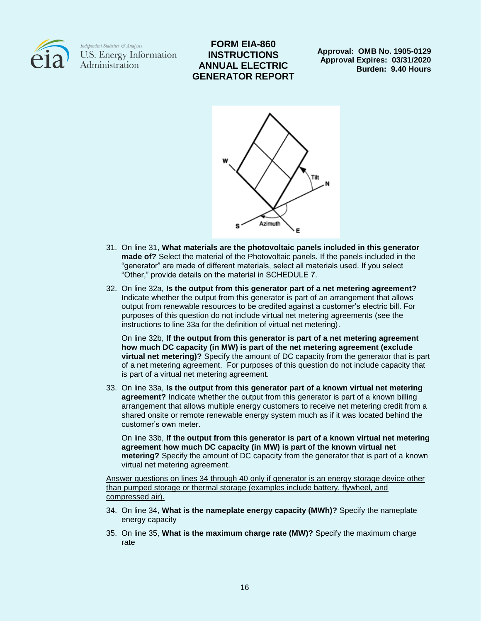

# **FORM EIA-860 INSTRUCTIONS ANNUAL ELECTRIC GENERATOR REPORT**

**Approval: OMB No. 1905-0129 Approval Expires: 03/31/2020 Burden: 9.40 Hours**



- 31. On line 31, **What materials are the photovoltaic panels included in this generator made of?** Select the material of the Photovoltaic panels. If the panels included in the "generator" are made of different materials, select all materials used. If you select "Other," provide details on the material in SCHEDULE 7.
- 32. On line 32a, **Is the output from this generator part of a net metering agreement?**  Indicate whether the output from this generator is part of an arrangement that allows output from renewable resources to be credited against a customer's electric bill. For purposes of this question do not include virtual net metering agreements (see the instructions to line 33a for the definition of virtual net metering).

On line 32b, **If the output from this generator is part of a net metering agreement how much DC capacity (in MW) is part of the net metering agreement (exclude virtual net metering)?** Specify the amount of DC capacity from the generator that is part of a net metering agreement. For purposes of this question do not include capacity that is part of a virtual net metering agreement.

33. On line 33a, **Is the output from this generator part of a known virtual net metering agreement?** Indicate whether the output from this generator is part of a known billing arrangement that allows multiple energy customers to receive net metering credit from a shared onsite or remote renewable energy system much as if it was located behind the customer's own meter.

On line 33b, **If the output from this generator is part of a known virtual net metering agreement how much DC capacity (in MW) is part of the known virtual net metering?** Specify the amount of DC capacity from the generator that is part of a known virtual net metering agreement.

Answer questions on lines 34 through 40 only if generator is an energy storage device other than pumped storage or thermal storage (examples include battery, flywheel, and compressed air).

- 34. On line 34, **What is the nameplate energy capacity (MWh)?** Specify the nameplate energy capacity
- 35. On line 35, **What is the maximum charge rate (MW)?** Specify the maximum charge rate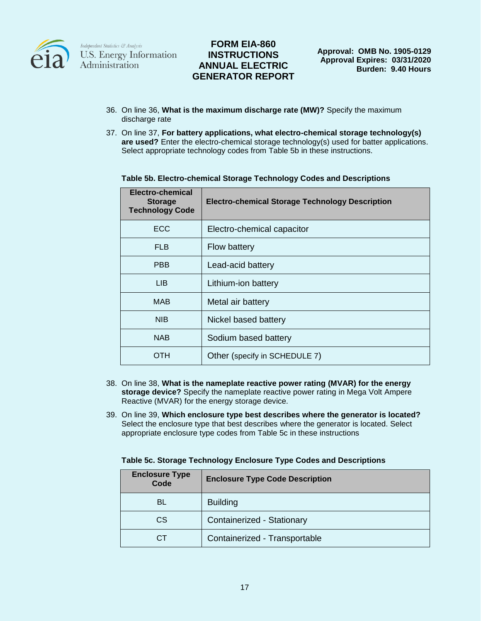

# **FORM EIA-860 INSTRUCTIONS ANNUAL ELECTRIC GENERATOR REPORT**

- 36. On line 36, **What is the maximum discharge rate (MW)?** Specify the maximum discharge rate
- 37. On line 37, **For battery applications, what electro-chemical storage technology(s) are used?** Enter the electro-chemical storage technology(s) used for batter applications. Select appropriate technology codes from Table 5b in these instructions.

| Electro-chemical<br><b>Storage</b><br><b>Technology Code</b> | <b>Electro-chemical Storage Technology Description</b> |
|--------------------------------------------------------------|--------------------------------------------------------|
| <b>ECC</b>                                                   | Electro-chemical capacitor                             |
| <b>FLB</b>                                                   | <b>Flow battery</b>                                    |
| <b>PBB</b>                                                   | Lead-acid battery                                      |
| <b>LIB</b>                                                   | Lithium-ion battery                                    |
| MAB                                                          | Metal air battery                                      |
| <b>NIB</b>                                                   | Nickel based battery                                   |
| <b>NAB</b>                                                   | Sodium based battery                                   |
| OTH                                                          | Other (specify in SCHEDULE 7)                          |

#### **Table 5b. Electro-chemical Storage Technology Codes and Descriptions**

- 38. On line 38, **What is the nameplate reactive power rating (MVAR) for the energy storage device?** Specify the nameplate reactive power rating in Mega Volt Ampere Reactive (MVAR) for the energy storage device.
- 39. On line 39, **Which enclosure type best describes where the generator is located?**  Select the enclosure type that best describes where the generator is located. Select appropriate enclosure type codes from Table 5c in these instructions

| <b>Enclosure Type</b><br>Code | <b>Enclosure Type Code Description</b> |
|-------------------------------|----------------------------------------|
| BL                            | <b>Building</b>                        |
| CS                            | Containerized - Stationary             |
| CТ                            | Containerized - Transportable          |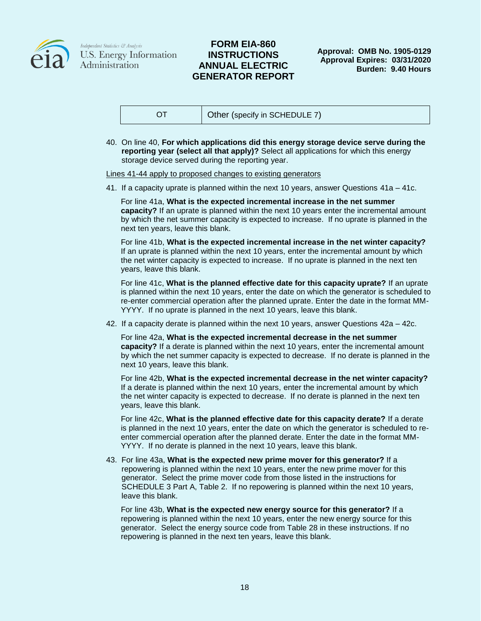

### **FORM EIA-860 INSTRUCTIONS ANNUAL ELECTRIC GENERATOR REPORT**

**Approval: OMB No. 1905-0129 Approval Expires: 03/31/2020 Burden: 9.40 Hours**

|  | Other (specify in SCHEDULE 7) |
|--|-------------------------------|
|--|-------------------------------|

40. On line 40, **For which applications did this energy storage device serve during the reporting year (select all that apply)?** Select all applications for which this energy storage device served during the reporting year.

Lines 41-44 apply to proposed changes to existing generators

41. If a capacity uprate is planned within the next 10 years, answer Questions 41a – 41c.

For line 41a, **What is the expected incremental increase in the net summer capacity?** If an uprate is planned within the next 10 years enter the incremental amount by which the net summer capacity is expected to increase. If no uprate is planned in the next ten years, leave this blank.

For line 41b, **What is the expected incremental increase in the net winter capacity?**  If an uprate is planned within the next 10 years, enter the incremental amount by which the net winter capacity is expected to increase. If no uprate is planned in the next ten years, leave this blank.

For line 41c, **What is the planned effective date for this capacity uprate?** If an uprate is planned within the next 10 years, enter the date on which the generator is scheduled to re-enter commercial operation after the planned uprate. Enter the date in the format MM-YYYY. If no uprate is planned in the next 10 years, leave this blank.

42. If a capacity derate is planned within the next 10 years, answer Questions 42a – 42c.

For line 42a, **What is the expected incremental decrease in the net summer capacity?** If a derate is planned within the next 10 years, enter the incremental amount by which the net summer capacity is expected to decrease. If no derate is planned in the next 10 years, leave this blank.

For line 42b, **What is the expected incremental decrease in the net winter capacity?**  If a derate is planned within the next 10 years, enter the incremental amount by which the net winter capacity is expected to decrease. If no derate is planned in the next ten years, leave this blank.

For line 42c, **What is the planned effective date for this capacity derate?** If a derate is planned in the next 10 years, enter the date on which the generator is scheduled to reenter commercial operation after the planned derate. Enter the date in the format MM-YYYY. If no derate is planned in the next 10 years, leave this blank.

43. For line 43a, **What is the expected new prime mover for this generator?** If a repowering is planned within the next 10 years, enter the new prime mover for this generator. Select the prime mover code from those listed in the instructions for SCHEDULE 3 Part A, Table 2. If no repowering is planned within the next 10 years, leave this blank.

For line 43b, **What is the expected new energy source for this generator?** If a repowering is planned within the next 10 years, enter the new energy source for this generator. Select the energy source code from Table 28 in these instructions. If no repowering is planned in the next ten years, leave this blank.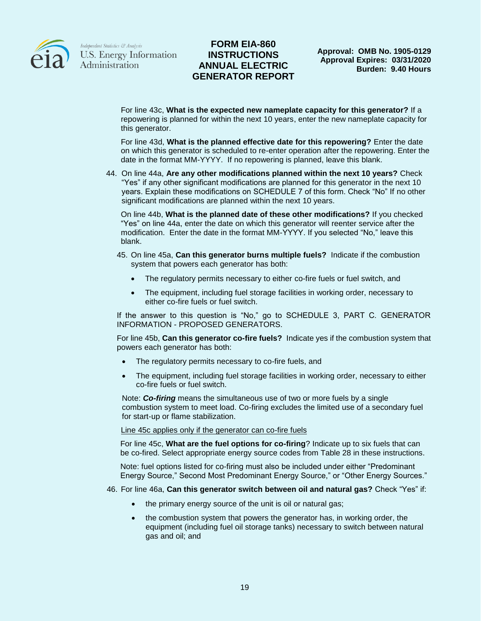

### **FORM EIA-860 INSTRUCTIONS ANNUAL ELECTRIC GENERATOR REPORT**

For line 43c, **What is the expected new nameplate capacity for this generator?** If a repowering is planned for within the next 10 years, enter the new nameplate capacity for this generator.

For line 43d, **What is the planned effective date for this repowering?** Enter the date on which this generator is scheduled to re-enter operation after the repowering. Enter the date in the format MM-YYYY. If no repowering is planned, leave this blank.

44. On line 44a, **Are any other modifications planned within the next 10 years?** Check "Yes" if any other significant modifications are planned for this generator in the next 10 years. Explain these modifications on SCHEDULE 7 of this form. Check "No" If no other significant modifications are planned within the next 10 years.

On line 44b, **What is the planned date of these other modifications?** If you checked "Yes" on line 44a, enter the date on which this generator will reenter service after the modification. Enter the date in the format MM-YYYY. If you selected "No," leave this blank.

- 45. On line 45a, **Can this generator burns multiple fuels?** Indicate if the combustion system that powers each generator has both:
	- The regulatory permits necessary to either co-fire fuels or fuel switch, and
	- The equipment, including fuel storage facilities in working order, necessary to either co-fire fuels or fuel switch.

If the answer to this question is "No," go to SCHEDULE 3, PART C. GENERATOR INFORMATION - PROPOSED GENERATORS.

For line 45b, **Can this generator co-fire fuels?** Indicate yes if the combustion system that powers each generator has both:

- The regulatory permits necessary to co-fire fuels, and
- The equipment, including fuel storage facilities in working order, necessary to either co-fire fuels or fuel switch.

Note: *Co-firing* means the simultaneous use of two or more fuels by a single combustion system to meet load. Co-firing excludes the limited use of a secondary fuel for start-up or flame stabilization.

Line 45c applies only if the generator can co-fire fuels

For line 45c, **What are the fuel options for co-firing**? Indicate up to six fuels that can be co-fired. Select appropriate energy source codes from Table 28 in these instructions.

Note: fuel options listed for co-firing must also be included under either "Predominant Energy Source," Second Most Predominant Energy Source," or "Other Energy Sources."

- 46. For line 46a, **Can this generator switch between oil and natural gas?** Check "Yes" if:
	- the primary energy source of the unit is oil or natural gas;
	- the combustion system that powers the generator has, in working order, the equipment (including fuel oil storage tanks) necessary to switch between natural gas and oil; and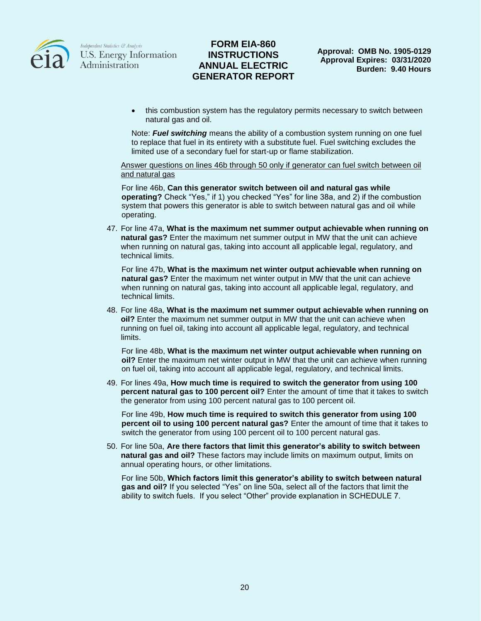

## **FORM EIA-860 INSTRUCTIONS ANNUAL ELECTRIC GENERATOR REPORT**

• this combustion system has the regulatory permits necessary to switch between natural gas and oil.

Note: *Fuel switching* means the ability of a combustion system running on one fuel to replace that fuel in its entirety with a substitute fuel. Fuel switching excludes the limited use of a secondary fuel for start-up or flame stabilization.

Answer questions on lines 46b through 50 only if generator can fuel switch between oil and natural gas

For line 46b, **Can this generator switch between oil and natural gas while operating?** Check "Yes," if 1) you checked "Yes" for line 38a, and 2) if the combustion system that powers this generator is able to switch between natural gas and oil while operating.

47. For line 47a, **What is the maximum net summer output achievable when running on natural gas?** Enter the maximum net summer output in MW that the unit can achieve when running on natural gas, taking into account all applicable legal, regulatory, and technical limits.

For line 47b, **What is the maximum net winter output achievable when running on natural gas?** Enter the maximum net winter output in MW that the unit can achieve when running on natural gas, taking into account all applicable legal, regulatory, and technical limits.

48. For line 48a, **What is the maximum net summer output achievable when running on oil?** Enter the maximum net summer output in MW that the unit can achieve when running on fuel oil, taking into account all applicable legal, regulatory, and technical limits.

For line 48b, **What is the maximum net winter output achievable when running on oil?** Enter the maximum net winter output in MW that the unit can achieve when running on fuel oil, taking into account all applicable legal, regulatory, and technical limits.

49. For lines 49a, **How much time is required to switch the generator from using 100 percent natural gas to 100 percent oil?** Enter the amount of time that it takes to switch the generator from using 100 percent natural gas to 100 percent oil.

For line 49b, **How much time is required to switch this generator from using 100 percent oil to using 100 percent natural gas?** Enter the amount of time that it takes to switch the generator from using 100 percent oil to 100 percent natural gas.

50. For line 50a, **Are there factors that limit this generator's ability to switch between natural gas and oil?** These factors may include limits on maximum output, limits on annual operating hours, or other limitations.

For line 50b, **Which factors limit this generator's ability to switch between natural gas and oil?** If you selected "Yes" on line 50a, select all of the factors that limit the ability to switch fuels. If you select "Other" provide explanation in SCHEDULE 7.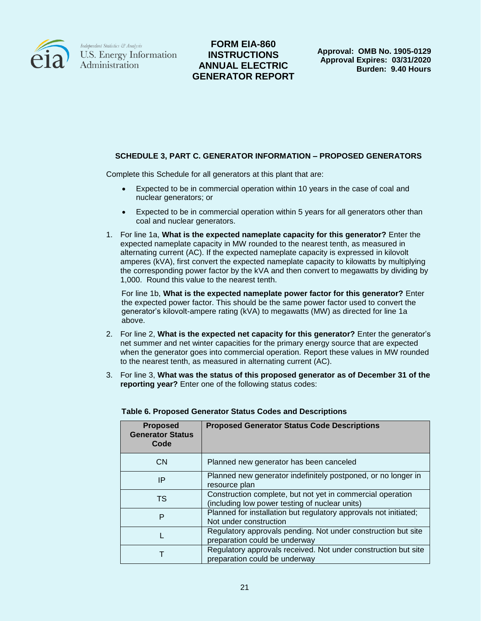

# **FORM EIA-860 INSTRUCTIONS ANNUAL ELECTRIC GENERATOR REPORT**

**Approval: OMB No. 1905-0129 Approval Expires: 03/31/2020 Burden: 9.40 Hours**

### **SCHEDULE 3, PART C. GENERATOR INFORMATION – PROPOSED GENERATORS**

Complete this Schedule for all generators at this plant that are:

- Expected to be in commercial operation within 10 years in the case of coal and nuclear generators; or
- Expected to be in commercial operation within 5 years for all generators other than coal and nuclear generators.
- 1. For line 1a, **What is the expected nameplate capacity for this generator?** Enter the expected nameplate capacity in MW rounded to the nearest tenth, as measured in alternating current (AC). If the expected nameplate capacity is expressed in kilovolt amperes (kVA), first convert the expected nameplate capacity to kilowatts by multiplying the corresponding power factor by the kVA and then convert to megawatts by dividing by 1,000. Round this value to the nearest tenth.

For line 1b, **What is the expected nameplate power factor for this generator?** Enter the expected power factor. This should be the same power factor used to convert the generator's kilovolt-ampere rating (kVA) to megawatts (MW) as directed for line 1a above.

- 2. For line 2, **What is the expected net capacity for this generator?** Enter the generator's net summer and net winter capacities for the primary energy source that are expected when the generator goes into commercial operation. Report these values in MW rounded to the nearest tenth, as measured in alternating current (AC).
- 3. For line 3, **What was the status of this proposed generator as of December 31 of the reporting year?** Enter one of the following status codes:

| <b>Proposed</b><br><b>Generator Status</b><br>Code | <b>Proposed Generator Status Code Descriptions</b>                                                           |
|----------------------------------------------------|--------------------------------------------------------------------------------------------------------------|
| <b>CN</b>                                          | Planned new generator has been canceled                                                                      |
| IP                                                 | Planned new generator indefinitely postponed, or no longer in<br>resource plan                               |
| TS                                                 | Construction complete, but not yet in commercial operation<br>(including low power testing of nuclear units) |
| P                                                  | Planned for installation but regulatory approvals not initiated;<br>Not under construction                   |
|                                                    | Regulatory approvals pending. Not under construction but site<br>preparation could be underway               |
|                                                    | Regulatory approvals received. Not under construction but site<br>preparation could be underway              |

### **Table 6. Proposed Generator Status Codes and Descriptions**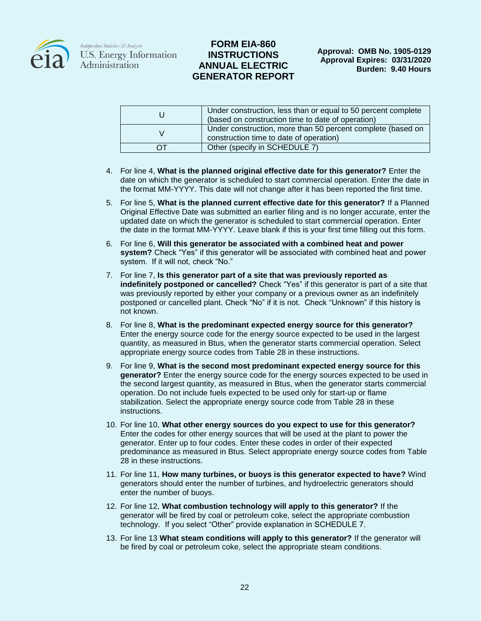

## **FORM EIA-860 INSTRUCTIONS ANNUAL ELECTRIC GENERATOR REPORT**

|     | Under construction, less than or equal to 50 percent complete<br>(based on construction time to date of operation) |
|-----|--------------------------------------------------------------------------------------------------------------------|
|     | Under construction, more than 50 percent complete (based on<br>construction time to date of operation)             |
| (1) | Other (specify in SCHEDULE 7)                                                                                      |

- 4. For line 4, **What is the planned original effective date for this generator?** Enter the date on which the generator is scheduled to start commercial operation. Enter the date in the format MM-YYYY. This date will not change after it has been reported the first time.
- 5. For line 5, **What is the planned current effective date for this generator?** If a Planned Original Effective Date was submitted an earlier filing and is no longer accurate, enter the updated date on which the generator is scheduled to start commercial operation. Enter the date in the format MM-YYYY. Leave blank if this is your first time filling out this form.
- 6. For line 6, **Will this generator be associated with a combined heat and power system?** Check "Yes" if this generator will be associated with combined heat and power system. If it will not, check "No."
- 7. For line 7, **Is this generator part of a site that was previously reported as indefinitely postponed or cancelled?** Check "Yes" if this generator is part of a site that was previously reported by either your company or a previous owner as an indefinitely postponed or cancelled plant. Check "No" if it is not. Check "Unknown" if this history is not known.
- 8. For line 8, **What is the predominant expected energy source for this generator?** Enter the energy source code for the energy source expected to be used in the largest quantity, as measured in Btus, when the generator starts commercial operation. Select appropriate energy source codes from Table 28 in these instructions.
- 9. For line 9, **What is the second most predominant expected energy source for this generator?** Enter the energy source code for the energy sources expected to be used in the second largest quantity, as measured in Btus, when the generator starts commercial operation. Do not include fuels expected to be used only for start-up or flame stabilization. Select the appropriate energy source code from Table 28 in these instructions.
- 10. For line 10, **What other energy sources do you expect to use for this generator?** Enter the codes for other energy sources that will be used at the plant to power the generator. Enter up to four codes. Enter these codes in order of their expected predominance as measured in Btus. Select appropriate energy source codes from Table 28 in these instructions.
- 11. For line 11, **How many turbines, or buoys is this generator expected to have?** Wind generators should enter the number of turbines, and hydroelectric generators should enter the number of buoys.
- 12. For line 12, **What combustion technology will apply to this generator?** If the generator will be fired by coal or petroleum coke, select the appropriate combustion technology. If you select "Other" provide explanation in SCHEDULE 7.
- 13. For line 13 **What steam conditions will apply to this generator?** If the generator will be fired by coal or petroleum coke, select the appropriate steam conditions.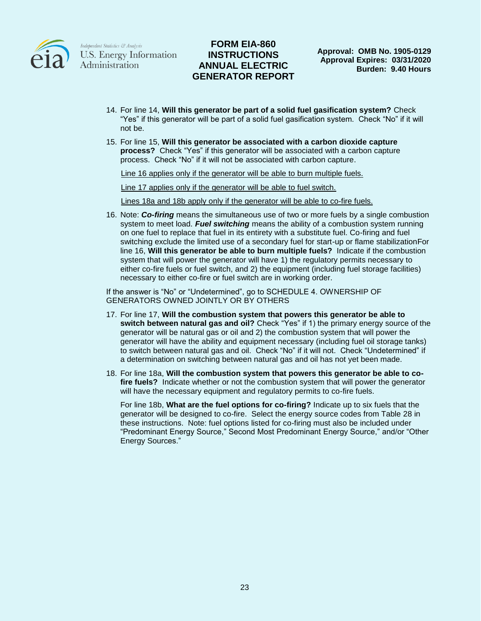

## **FORM EIA-860 INSTRUCTIONS ANNUAL ELECTRIC GENERATOR REPORT**

- 14. For line 14, **Will this generator be part of a solid fuel gasification system?** Check "Yes" if this generator will be part of a solid fuel gasification system. Check "No" if it will not be.
- 15. For line 15, **Will this generator be associated with a carbon dioxide capture process?** Check "Yes" if this generator will be associated with a carbon capture process. Check "No" if it will not be associated with carbon capture.

Line 16 applies only if the generator will be able to burn multiple fuels.

Line 17 applies only if the generator will be able to fuel switch.

Lines 18a and 18b apply only if the generator will be able to co-fire fuels.

16. Note: *Co-firing* means the simultaneous use of two or more fuels by a single combustion system to meet load. *Fuel switching* means the ability of a combustion system running on one fuel to replace that fuel in its entirety with a substitute fuel. Co-firing and fuel switching exclude the limited use of a secondary fuel for start-up or flame stabilizationFor line 16, **Will this generator be able to burn multiple fuels?** Indicate if the combustion system that will power the generator will have 1) the regulatory permits necessary to either co-fire fuels or fuel switch, and 2) the equipment (including fuel storage facilities) necessary to either co-fire or fuel switch are in working order.

If the answer is "No" or "Undetermined", go to SCHEDULE 4. OWNERSHIP OF GENERATORS OWNED JOINTLY OR BY OTHERS

- 17. For line 17, **Will the combustion system that powers this generator be able to switch between natural gas and oil?** Check "Yes" if 1) the primary energy source of the generator will be natural gas or oil and 2) the combustion system that will power the generator will have the ability and equipment necessary (including fuel oil storage tanks) to switch between natural gas and oil. Check "No" if it will not. Check "Undetermined" if a determination on switching between natural gas and oil has not yet been made.
- 18. For line 18a, **Will the combustion system that powers this generator be able to cofire fuels?** Indicate whether or not the combustion system that will power the generator will have the necessary equipment and regulatory permits to co-fire fuels.

For line 18b, **What are the fuel options for co-firing?** Indicate up to six fuels that the generator will be designed to co-fire. Select the energy source codes from Table 28 in these instructions. Note: fuel options listed for co-firing must also be included under "Predominant Energy Source," Second Most Predominant Energy Source," and/or "Other Energy Sources."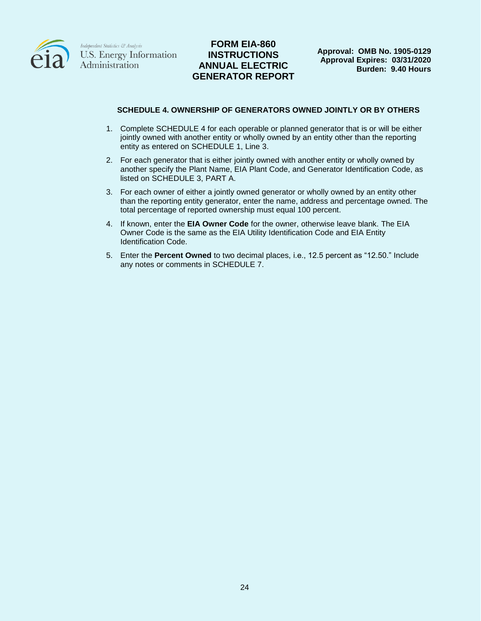

## **FORM EIA-860 INSTRUCTIONS ANNUAL ELECTRIC GENERATOR REPORT**

#### **SCHEDULE 4. OWNERSHIP OF GENERATORS OWNED JOINTLY OR BY OTHERS**

- 1. Complete SCHEDULE 4 for each operable or planned generator that is or will be either jointly owned with another entity or wholly owned by an entity other than the reporting entity as entered on SCHEDULE 1, Line 3.
- 2. For each generator that is either jointly owned with another entity or wholly owned by another specify the Plant Name, EIA Plant Code, and Generator Identification Code, as listed on SCHEDULE 3, PART A.
- 3. For each owner of either a jointly owned generator or wholly owned by an entity other than the reporting entity generator, enter the name, address and percentage owned. The total percentage of reported ownership must equal 100 percent.
- 4. If known, enter the **EIA Owner Code** for the owner, otherwise leave blank. The EIA Owner Code is the same as the EIA Utility Identification Code and EIA Entity Identification Code.
- 5. Enter the **Percent Owned** to two decimal places, i.e., 12.5 percent as "12.50." Include any notes or comments in SCHEDULE 7.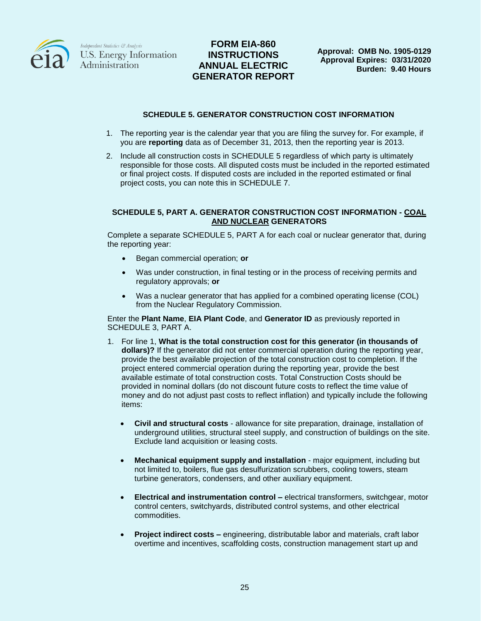

# **FORM EIA-860 INSTRUCTIONS ANNUAL ELECTRIC GENERATOR REPORT**

### **SCHEDULE 5. GENERATOR CONSTRUCTION COST INFORMATION**

- 1. The reporting year is the calendar year that you are filing the survey for. For example, if you are **reporting** data as of December 31, 2013, then the reporting year is 2013.
- 2. Include all construction costs in SCHEDULE 5 regardless of which party is ultimately responsible for those costs. All disputed costs must be included in the reported estimated or final project costs. If disputed costs are included in the reported estimated or final project costs, you can note this in SCHEDULE 7.

#### **SCHEDULE 5, PART A. GENERATOR CONSTRUCTION COST INFORMATION - COAL AND NUCLEAR GENERATORS**

Complete a separate SCHEDULE 5, PART A for each coal or nuclear generator that, during the reporting year:

- Began commercial operation; **or**
- Was under construction, in final testing or in the process of receiving permits and regulatory approvals; **or**
- Was a nuclear generator that has applied for a combined operating license (COL) from the Nuclear Regulatory Commission.

Enter the **Plant Name**, **EIA Plant Code**, and **Generator ID** as previously reported in SCHEDULE 3, PART A.

- 1. For line 1, **What is the total construction cost for this generator (in thousands of dollars)?** If the generator did not enter commercial operation during the reporting year, provide the best available projection of the total construction cost to completion. If the project entered commercial operation during the reporting year, provide the best available estimate of total construction costs. Total Construction Costs should be provided in nominal dollars (do not discount future costs to reflect the time value of money and do not adjust past costs to reflect inflation) and typically include the following items:
	- **Civil and structural costs** allowance for site preparation, drainage, installation of underground utilities, structural steel supply, and construction of buildings on the site. Exclude land acquisition or leasing costs.
	- **Mechanical equipment supply and installation** major equipment, including but not limited to, boilers, flue gas desulfurization scrubbers, cooling towers, steam turbine generators, condensers, and other auxiliary equipment.
	- **Electrical and instrumentation control –** electrical transformers, switchgear, motor control centers, switchyards, distributed control systems, and other electrical commodities.
	- **Project indirect costs –** engineering, distributable labor and materials, craft labor overtime and incentives, scaffolding costs, construction management start up and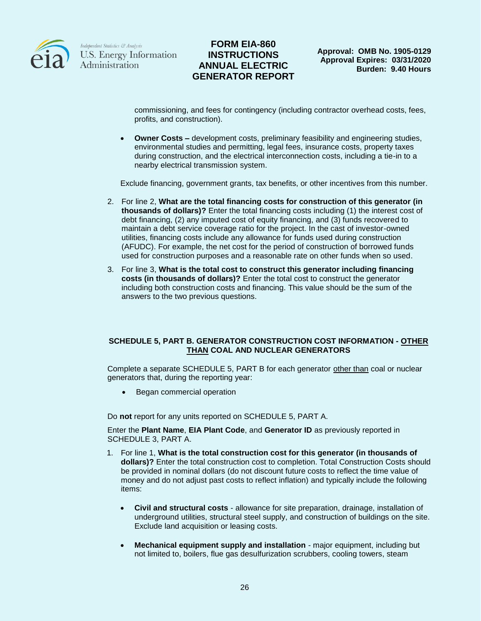

## **FORM EIA-860 INSTRUCTIONS ANNUAL ELECTRIC GENERATOR REPORT**

commissioning, and fees for contingency (including contractor overhead costs, fees, profits, and construction).

**Owner Costs –** development costs, preliminary feasibility and engineering studies, environmental studies and permitting, legal fees, insurance costs, property taxes during construction, and the electrical interconnection costs, including a tie-in to a nearby electrical transmission system.

Exclude financing, government grants, tax benefits, or other incentives from this number.

- 2. For line 2, **What are the total financing costs for construction of this generator (in thousands of dollars)?** Enter the total financing costs including (1) the interest cost of debt financing, (2) any imputed cost of equity financing, and (3) funds recovered to maintain a debt service coverage ratio for the project. In the cast of investor-owned utilities, financing costs include any allowance for funds used during construction (AFUDC). For example, the net cost for the period of construction of borrowed funds used for construction purposes and a reasonable rate on other funds when so used.
- 3. For line 3, **What is the total cost to construct this generator including financing costs (in thousands of dollars)?** Enter the total cost to construct the generator including both construction costs and financing. This value should be the sum of the answers to the two previous questions.

#### **SCHEDULE 5, PART B. GENERATOR CONSTRUCTION COST INFORMATION - OTHER THAN COAL AND NUCLEAR GENERATORS**

Complete a separate SCHEDULE 5, PART B for each generator other than coal or nuclear generators that, during the reporting year:

Began commercial operation

Do **not** report for any units reported on SCHEDULE 5, PART A.

Enter the **Plant Name**, **EIA Plant Code**, and **Generator ID** as previously reported in SCHEDULE 3, PART A.

- 1. For line 1, **What is the total construction cost for this generator (in thousands of dollars)?** Enter the total construction cost to completion. Total Construction Costs should be provided in nominal dollars (do not discount future costs to reflect the time value of money and do not adjust past costs to reflect inflation) and typically include the following items:
	- **Civil and structural costs** allowance for site preparation, drainage, installation of underground utilities, structural steel supply, and construction of buildings on the site. Exclude land acquisition or leasing costs.
	- **Mechanical equipment supply and installation** major equipment, including but not limited to, boilers, flue gas desulfurization scrubbers, cooling towers, steam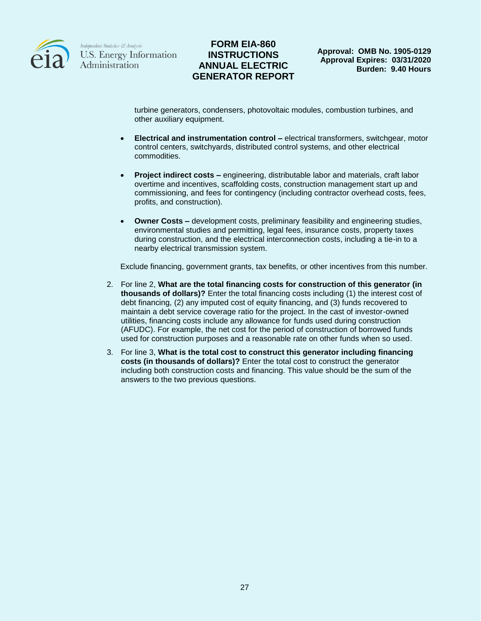

## **FORM EIA-860 INSTRUCTIONS ANNUAL ELECTRIC GENERATOR REPORT**

turbine generators, condensers, photovoltaic modules, combustion turbines, and other auxiliary equipment.

- **Electrical and instrumentation control –** electrical transformers, switchgear, motor control centers, switchyards, distributed control systems, and other electrical commodities.
- **Project indirect costs –** engineering, distributable labor and materials, craft labor overtime and incentives, scaffolding costs, construction management start up and commissioning, and fees for contingency (including contractor overhead costs, fees, profits, and construction).
- **Owner Costs –** development costs, preliminary feasibility and engineering studies, environmental studies and permitting, legal fees, insurance costs, property taxes during construction, and the electrical interconnection costs, including a tie-in to a nearby electrical transmission system.

Exclude financing, government grants, tax benefits, or other incentives from this number.

- 2. For line 2, **What are the total financing costs for construction of this generator (in thousands of dollars)?** Enter the total financing costs including (1) the interest cost of debt financing, (2) any imputed cost of equity financing, and (3) funds recovered to maintain a debt service coverage ratio for the project. In the cast of investor-owned utilities, financing costs include any allowance for funds used during construction (AFUDC). For example, the net cost for the period of construction of borrowed funds used for construction purposes and a reasonable rate on other funds when so used.
- 3. For line 3, **What is the total cost to construct this generator including financing costs (in thousands of dollars)?** Enter the total cost to construct the generator including both construction costs and financing. This value should be the sum of the answers to the two previous questions.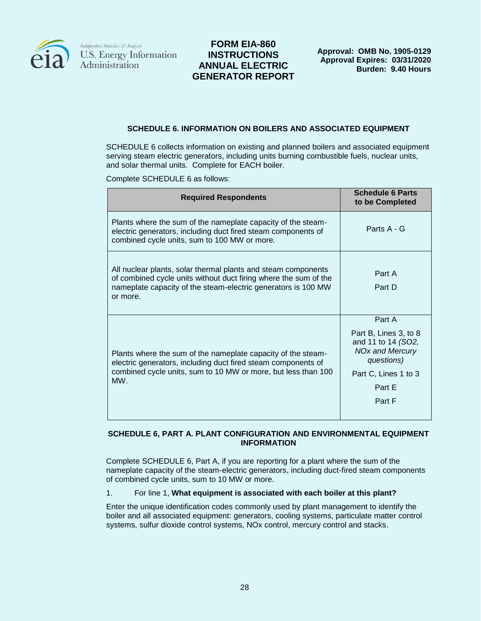

## **FORM EIA-860 INSTRUCTIONS ANNUAL ELECTRIC GENERATOR REPORT**

### **SCHEDULE 6. INFORMATION ON BOILERS AND ASSOCIATED EQUIPMENT**

SCHEDULE 6 collects information on existing and planned boilers and associated equipment serving steam electric generators, including units burning combustible fuels, nuclear units, and solar thermal units. Complete for EACH boiler.

Complete SCHEDULE 6 as follows:

| <b>Required Respondents</b>                                                                                                                                                                                    | <b>Schedule 6 Parts</b><br>to be Completed                                                                                                |
|----------------------------------------------------------------------------------------------------------------------------------------------------------------------------------------------------------------|-------------------------------------------------------------------------------------------------------------------------------------------|
| Plants where the sum of the nameplate capacity of the steam-<br>electric generators, including duct fired steam components of<br>combined cycle units, sum to 100 MW or more.                                  | Parts A - G                                                                                                                               |
| All nuclear plants, solar thermal plants and steam components<br>of combined cycle units without duct firing where the sum of the<br>nameplate capacity of the steam-electric generators is 100 MW<br>or more. | Part A<br>Part D                                                                                                                          |
| Plants where the sum of the nameplate capacity of the steam-<br>electric generators, including duct fired steam components of<br>combined cycle units, sum to 10 MW or more, but less than 100<br>MW.          | Part A<br>Part B, Lines 3, to 8<br>and 11 to 14 (SO2,<br><b>NOx and Mercury</b><br>questions)<br>Part C, Lines 1 to 3<br>Part E<br>Part F |

### **SCHEDULE 6, PART A. PLANT CONFIGURATION AND ENVIRONMENTAL EQUIPMENT INFORMATION**

Complete SCHEDULE 6, Part A, if you are reporting for a plant where the sum of the nameplate capacity of the steam-electric generators, including duct-fired steam components of combined cycle units, sum to 10 MW or more.

#### 1. For line 1, **What equipment is associated with each boiler at this plant?**

Enter the unique identification codes commonly used by plant management to identify the boiler and all associated equipment: generators, cooling systems, particulate matter control systems, sulfur dioxide control systems, NOx control, mercury control and stacks.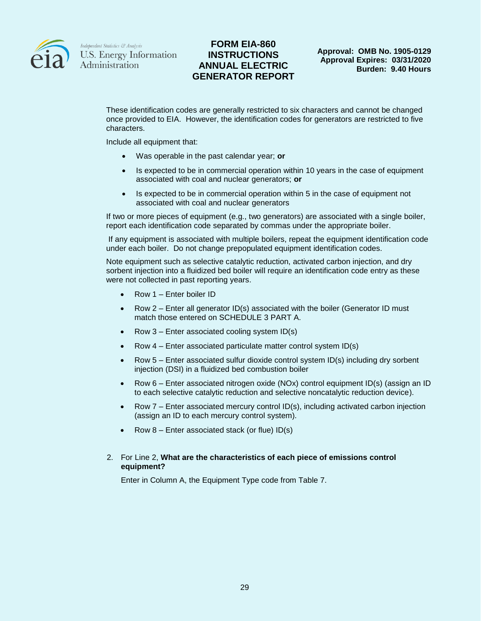

### **FORM EIA-860 INSTRUCTIONS ANNUAL ELECTRIC GENERATOR REPORT**

These identification codes are generally restricted to six characters and cannot be changed once provided to EIA. However, the identification codes for generators are restricted to five characters.

Include all equipment that:

- Was operable in the past calendar year; **or**
- Is expected to be in commercial operation within 10 years in the case of equipment associated with coal and nuclear generators; **or**
- Is expected to be in commercial operation within 5 in the case of equipment not associated with coal and nuclear generators

If two or more pieces of equipment (e.g., two generators) are associated with a single boiler, report each identification code separated by commas under the appropriate boiler.

If any equipment is associated with multiple boilers, repeat the equipment identification code under each boiler. Do not change prepopulated equipment identification codes.

Note equipment such as selective catalytic reduction, activated carbon injection, and dry sorbent injection into a fluidized bed boiler will require an identification code entry as these were not collected in past reporting years.

- Row 1 Enter boiler ID
- Row 2 Enter all generator ID(s) associated with the boiler (Generator ID must match those entered on SCHEDULE 3 PART A.
- Row 3 Enter associated cooling system ID(s)
- Row 4 Enter associated particulate matter control system ID(s)
- Row 5 Enter associated sulfur dioxide control system ID(s) including dry sorbent injection (DSI) in a fluidized bed combustion boiler
- Row 6 Enter associated nitrogen oxide (NOx) control equipment ID(s) (assign an ID to each selective catalytic reduction and selective noncatalytic reduction device).
- Row 7 Enter associated mercury control ID(s), including activated carbon injection (assign an ID to each mercury control system).
- Row 8 Enter associated stack (or flue) ID(s)

#### 2. For Line 2, **What are the characteristics of each piece of emissions control equipment?**

Enter in Column A, the Equipment Type code from Table 7.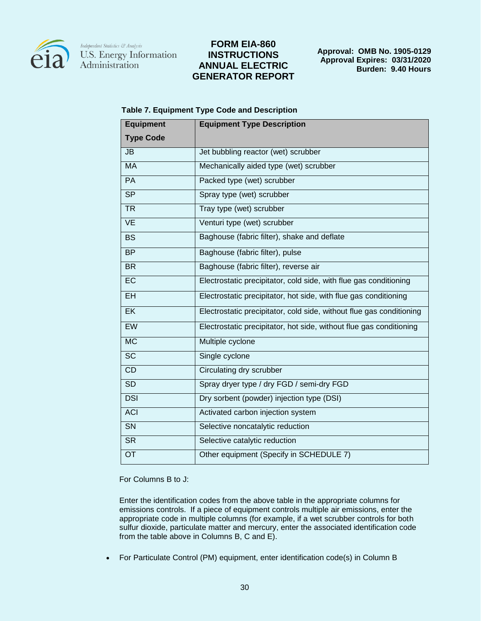

## **FORM EIA-860 INSTRUCTIONS ANNUAL ELECTRIC GENERATOR REPORT**

**Approval: OMB No. 1905-0129 Approval Expires: 03/31/2020 Burden: 9.40 Hours**

| <b>Equipment</b>       | <b>Equipment Type Description</b>                                    |  |
|------------------------|----------------------------------------------------------------------|--|
| <b>Type Code</b>       |                                                                      |  |
| JB                     | Jet bubbling reactor (wet) scrubber                                  |  |
| <b>MA</b>              | Mechanically aided type (wet) scrubber                               |  |
| PA                     | Packed type (wet) scrubber                                           |  |
| $\overline{\text{SP}}$ | Spray type (wet) scrubber                                            |  |
| <b>TR</b>              | Tray type (wet) scrubber                                             |  |
| <b>VE</b>              | Venturi type (wet) scrubber                                          |  |
| <b>BS</b>              | Baghouse (fabric filter), shake and deflate                          |  |
| <b>BP</b>              | Baghouse (fabric filter), pulse                                      |  |
| <b>BR</b>              | Baghouse (fabric filter), reverse air                                |  |
| EC                     | Electrostatic precipitator, cold side, with flue gas conditioning    |  |
| EH                     | Electrostatic precipitator, hot side, with flue gas conditioning     |  |
| $E$ K                  | Electrostatic precipitator, cold side, without flue gas conditioning |  |
| <b>EW</b>              | Electrostatic precipitator, hot side, without flue gas conditioning  |  |
| MC                     | Multiple cyclone                                                     |  |
| <b>SC</b>              | Single cyclone                                                       |  |
| <b>CD</b>              | Circulating dry scrubber                                             |  |
| $\overline{SD}$        | Spray dryer type / dry FGD / semi-dry FGD                            |  |
| <b>DSI</b>             | Dry sorbent (powder) injection type (DSI)                            |  |
| <b>ACI</b>             | Activated carbon injection system                                    |  |
| $\overline{\text{SN}}$ | Selective noncatalytic reduction                                     |  |
| $\overline{\text{SR}}$ | Selective catalytic reduction                                        |  |
| $\overline{OT}$        | Other equipment (Specify in SCHEDULE 7)                              |  |

For Columns B to J:

Enter the identification codes from the above table in the appropriate columns for emissions controls. If a piece of equipment controls multiple air emissions, enter the appropriate code in multiple columns (for example, if a wet scrubber controls for both sulfur dioxide, particulate matter and mercury, enter the associated identification code from the table above in Columns B, C and E).

For Particulate Control (PM) equipment, enter identification code(s) in Column B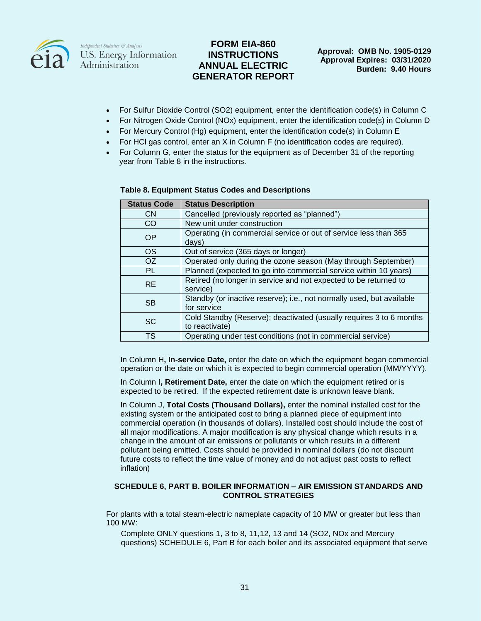

## **FORM EIA-860 INSTRUCTIONS ANNUAL ELECTRIC GENERATOR REPORT**

- For Sulfur Dioxide Control (SO2) equipment, enter the identification code(s) in Column C
- For Nitrogen Oxide Control (NOx) equipment, enter the identification code(s) in Column D
- For Mercury Control (Hg) equipment, enter the identification code(s) in Column E
- For HCl gas control, enter an X in Column F (no identification codes are required).
- For Column G, enter the status for the equipment as of December 31 of the reporting year from Table 8 in the instructions.

| <b>Status Code</b> | <b>Status Description</b>                                                             |
|--------------------|---------------------------------------------------------------------------------------|
| <b>CN</b>          | Cancelled (previously reported as "planned")                                          |
| CO.                | New unit under construction                                                           |
| <b>OP</b>          | Operating (in commercial service or out of service less than 365<br>days)             |
| OS.                | Out of service (365 days or longer)                                                   |
| OZ.                | Operated only during the ozone season (May through September)                         |
| <b>PL</b>          | Planned (expected to go into commercial service within 10 years)                      |
| <b>RE</b>          | Retired (no longer in service and not expected to be returned to<br>service)          |
| <b>SB</b>          | Standby (or inactive reserve); i.e., not normally used, but available<br>for service  |
| <b>SC</b>          | Cold Standby (Reserve); deactivated (usually requires 3 to 6 months<br>to reactivate) |
| <b>TS</b>          | Operating under test conditions (not in commercial service)                           |

#### **Table 8. Equipment Status Codes and Descriptions**

In Column H**, In-service Date,** enter the date on which the equipment began commercial operation or the date on which it is expected to begin commercial operation (MM/YYYY).

In Column I**, Retirement Date,** enter the date on which the equipment retired or is expected to be retired. If the expected retirement date is unknown leave blank.

In Column J, **Total Costs (Thousand Dollars),** enter the nominal installed cost for the existing system or the anticipated cost to bring a planned piece of equipment into commercial operation (in thousands of dollars). Installed cost should include the cost of all major modifications. A major modification is any physical change which results in a change in the amount of air emissions or pollutants or which results in a different pollutant being emitted. Costs should be provided in nominal dollars (do not discount future costs to reflect the time value of money and do not adjust past costs to reflect inflation)

#### **SCHEDULE 6, PART B. BOILER INFORMATION – AIR EMISSION STANDARDS AND CONTROL STRATEGIES**

For plants with a total steam-electric nameplate capacity of 10 MW or greater but less than 100 MW:

Complete ONLY questions 1, 3 to 8, 11,12, 13 and 14 (SO2, NOx and Mercury questions) SCHEDULE 6, Part B for each boiler and its associated equipment that serve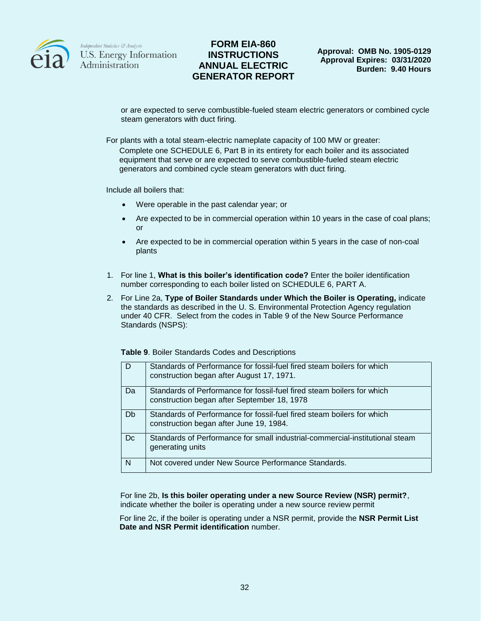

## **FORM EIA-860 INSTRUCTIONS ANNUAL ELECTRIC GENERATOR REPORT**

or are expected to serve combustible-fueled steam electric generators or combined cycle steam generators with duct firing.

For plants with a total steam-electric nameplate capacity of 100 MW or greater: Complete one SCHEDULE 6, Part B in its entirety for each boiler and its associated equipment that serve or are expected to serve combustible-fueled steam electric generators and combined cycle steam generators with duct firing.

Include all boilers that:

- Were operable in the past calendar year; or
- Are expected to be in commercial operation within 10 years in the case of coal plans; or
- Are expected to be in commercial operation within 5 years in the case of non-coal plants
- 1. For line 1, **What is this boiler's identification code?** Enter the boiler identification number corresponding to each boiler listed on SCHEDULE 6, PART A.
- 2. For Line 2a, **Type of Boiler Standards under Which the Boiler is Operating,** indicate the standards as described in the U. S. Environmental Protection Agency regulation under 40 CFR. Select from the codes in Table 9 of the New Source Performance Standards (NSPS):

|  |  |  |  | Table 9. Boiler Standards Codes and Descriptions |
|--|--|--|--|--------------------------------------------------|
|--|--|--|--|--------------------------------------------------|

| D   | Standards of Performance for fossil-fuel fired steam boilers for which<br>construction began after August 17, 1971.   |
|-----|-----------------------------------------------------------------------------------------------------------------------|
| Da  | Standards of Performance for fossil-fuel fired steam boilers for which<br>construction began after September 18, 1978 |
| Db  | Standards of Performance for fossil-fuel fired steam boilers for which<br>construction began after June 19, 1984.     |
| Dc. | Standards of Performance for small industrial-commercial-institutional steam<br>generating units                      |
| N   | Not covered under New Source Performance Standards.                                                                   |

For line 2b, **Is this boiler operating under a new Source Review (NSR) permit?**, indicate whether the boiler is operating under a new source review permit

For line 2c, if the boiler is operating under a NSR permit, provide the **NSR Permit List Date and NSR Permit identification** number.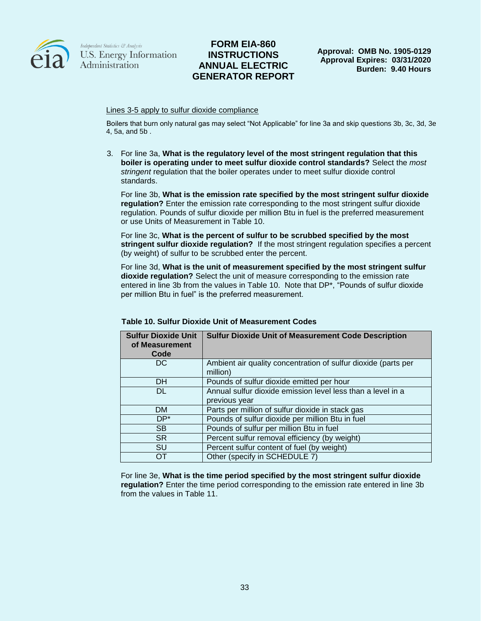

## **FORM EIA-860 INSTRUCTIONS ANNUAL ELECTRIC GENERATOR REPORT**

Lines 3-5 apply to sulfur dioxide compliance

Boilers that burn only natural gas may select "Not Applicable" for line 3a and skip questions 3b, 3c, 3d, 3e, 4, 5a, and 5b .

3. For line 3a, **What is the regulatory level of the most stringent regulation that this boiler is operating under to meet sulfur dioxide control standards?** Select the *most stringent* regulation that the boiler operates under to meet sulfur dioxide control standards.

For line 3b, **What is the emission rate specified by the most stringent sulfur dioxide regulation?** Enter the emission rate corresponding to the most stringent sulfur dioxide regulation. Pounds of sulfur dioxide per million Btu in fuel is the preferred measurement or use Units of Measurement in Table 10.

For line 3c, **What is the percent of sulfur to be scrubbed specified by the most stringent sulfur dioxide regulation?** If the most stringent regulation specifies a percent (by weight) of sulfur to be scrubbed enter the percent.

For line 3d, **What is the unit of measurement specified by the most stringent sulfur dioxide regulation?** Select the unit of measure corresponding to the emission rate entered in line 3b from the values in Table 10. Note that DP\*, "Pounds of sulfur dioxide per million Btu in fuel" is the preferred measurement.

| <b>Sulfur Dioxide Unit</b><br>of Measurement<br>Code | <b>Sulfur Dioxide Unit of Measurement Code Description</b>                   |
|------------------------------------------------------|------------------------------------------------------------------------------|
| DC                                                   | Ambient air quality concentration of sulfur dioxide (parts per<br>million)   |
| DH.                                                  | Pounds of sulfur dioxide emitted per hour                                    |
| DL                                                   | Annual sulfur dioxide emission level less than a level in a<br>previous year |
| <b>DM</b>                                            | Parts per million of sulfur dioxide in stack gas                             |
| $DP*$                                                | Pounds of sulfur dioxide per million Btu in fuel                             |
| <b>SB</b>                                            | Pounds of sulfur per million Btu in fuel                                     |
| <b>SR</b>                                            | Percent sulfur removal efficiency (by weight)                                |
| <b>SU</b>                                            | Percent sulfur content of fuel (by weight)                                   |
| OΤ                                                   | Other (specify in SCHEDULE 7)                                                |

### **Table 10. Sulfur Dioxide Unit of Measurement Codes**

For line 3e, **What is the time period specified by the most stringent sulfur dioxide regulation?** Enter the time period corresponding to the emission rate entered in line 3b from the values in Table 11.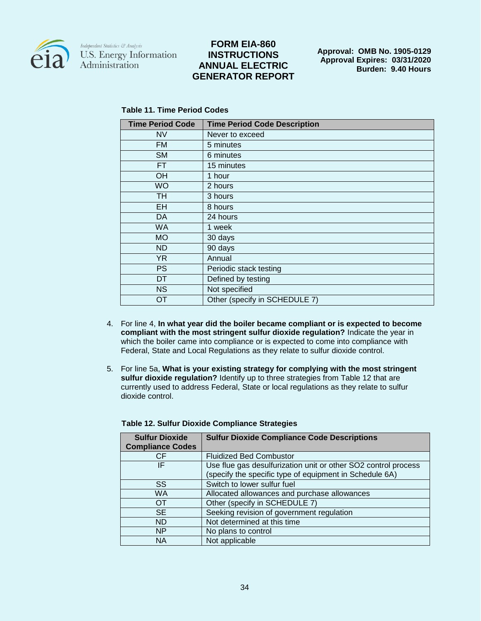

## **FORM EIA-860 INSTRUCTIONS ANNUAL ELECTRIC GENERATOR REPORT**

**Approval: OMB No. 1905-0129 Approval Expires: 03/31/2020 Burden: 9.40 Hours**

### **Table 11. Time Period Codes**

| <b>Time Period Code</b> | <b>Time Period Code Description</b> |
|-------------------------|-------------------------------------|
| <b>NV</b>               | Never to exceed                     |
| <b>FM</b>               | 5 minutes                           |
| <b>SM</b>               | 6 minutes                           |
| FT                      | 15 minutes                          |
| OH                      | 1 hour                              |
| <b>WO</b>               | 2 hours                             |
| TH                      | 3 hours                             |
| EH                      | 8 hours                             |
| DA                      | 24 hours                            |
| <b>WA</b>               | 1 week                              |
| <b>MO</b>               | 30 days                             |
| <b>ND</b>               | 90 days                             |
| YR.                     | Annual                              |
| <b>PS</b>               | Periodic stack testing              |
| DT                      | Defined by testing                  |
| <b>NS</b>               | Not specified                       |
| ОT                      | Other (specify in SCHEDULE 7)       |

- 4. For line 4, **In what year did the boiler became compliant or is expected to become compliant with the most stringent sulfur dioxide regulation?** Indicate the year in which the boiler came into compliance or is expected to come into compliance with Federal, State and Local Regulations as they relate to sulfur dioxide control.
- 5. For line 5a, **What is your existing strategy for complying with the most stringent sulfur dioxide regulation?** Identify up to three strategies from Table 12 that are currently used to address Federal, State or local regulations as they relate to sulfur dioxide control.

| <b>Sulfur Dioxide</b><br><b>Compliance Codes</b> | <b>Sulfur Dioxide Compliance Code Descriptions</b>                                                                        |
|--------------------------------------------------|---------------------------------------------------------------------------------------------------------------------------|
| <b>CF</b>                                        | <b>Fluidized Bed Combustor</b>                                                                                            |
| IF                                               | Use flue gas desulfurization unit or other SO2 control process<br>(specify the specific type of equipment in Schedule 6A) |
| SS                                               | Switch to lower sulfur fuel                                                                                               |
| <b>WA</b>                                        | Allocated allowances and purchase allowances                                                                              |
| OT                                               | Other (specify in SCHEDULE 7)                                                                                             |
| <b>SE</b>                                        | Seeking revision of government regulation                                                                                 |
| ND.                                              | Not determined at this time                                                                                               |
| NP.                                              | No plans to control                                                                                                       |
| <b>NA</b>                                        | Not applicable                                                                                                            |

#### **Table 12. Sulfur Dioxide Compliance Strategies**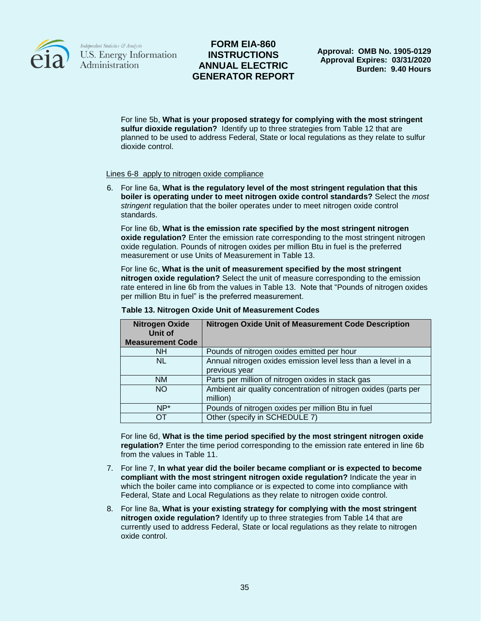

## **FORM EIA-860 INSTRUCTIONS ANNUAL ELECTRIC GENERATOR REPORT**

For line 5b, **What is your proposed strategy for complying with the most stringent sulfur dioxide regulation?** Identify up to three strategies from Table 12 that are planned to be used to address Federal, State or local regulations as they relate to sulfur dioxide control.

#### Lines 6-8 apply to nitrogen oxide compliance

6. For line 6a, **What is the regulatory level of the most stringent regulation that this boiler is operating under to meet nitrogen oxide control standards?** Select the *most stringent* regulation that the boiler operates under to meet nitrogen oxide control standards.

For line 6b, **What is the emission rate specified by the most stringent nitrogen oxide regulation?** Enter the emission rate corresponding to the most stringent nitrogen oxide regulation. Pounds of nitrogen oxides per million Btu in fuel is the preferred measurement or use Units of Measurement in Table 13.

For line 6c, **What is the unit of measurement specified by the most stringent nitrogen oxide regulation?** Select the unit of measure corresponding to the emission rate entered in line 6b from the values in Table 13. Note that "Pounds of nitrogen oxides per million Btu in fuel" is the preferred measurement.

| <b>Nitrogen Oxide</b><br>Unit of<br><b>Measurement Code</b> | <b>Nitrogen Oxide Unit of Measurement Code Description</b>                    |
|-------------------------------------------------------------|-------------------------------------------------------------------------------|
| NH.                                                         | Pounds of nitrogen oxides emitted per hour                                    |
| <b>NL</b>                                                   | Annual nitrogen oxides emission level less than a level in a<br>previous year |
| <b>NM</b>                                                   | Parts per million of nitrogen oxides in stack gas                             |
| <b>NO</b>                                                   | Ambient air quality concentration of nitrogen oxides (parts per<br>million)   |
| $NP^*$                                                      | Pounds of nitrogen oxides per million Btu in fuel                             |
| OΤ                                                          | Other (specify in SCHEDULE 7)                                                 |

#### **Table 13. Nitrogen Oxide Unit of Measurement Codes**

For line 6d, **What is the time period specified by the most stringent nitrogen oxide regulation?** Enter the time period corresponding to the emission rate entered in line 6b from the values in Table 11.

- 7. For line 7, **In what year did the boiler became compliant or is expected to become compliant with the most stringent nitrogen oxide regulation?** Indicate the year in which the boiler came into compliance or is expected to come into compliance with Federal, State and Local Regulations as they relate to nitrogen oxide control.
- 8. For line 8a, **What is your existing strategy for complying with the most stringent nitrogen oxide regulation?** Identify up to three strategies from Table 14 that are currently used to address Federal, State or local regulations as they relate to nitrogen oxide control.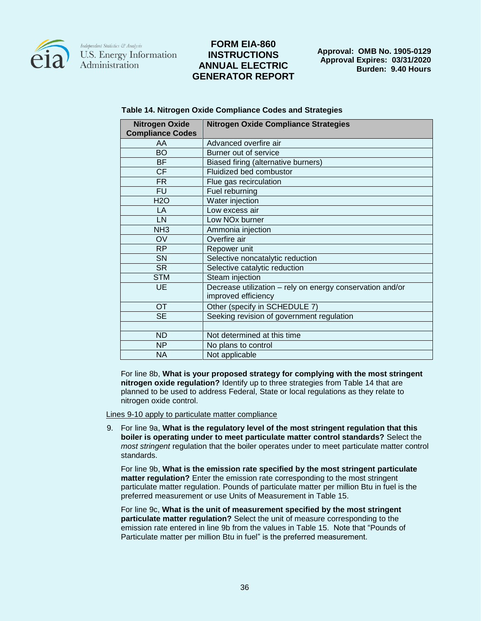

## **FORM EIA-860 INSTRUCTIONS ANNUAL ELECTRIC GENERATOR REPORT**

**Approval: OMB No. 1905-0129 Approval Expires: 03/31/2020 Burden: 9.40 Hours**

| <b>Nitrogen Oxide</b><br><b>Compliance Codes</b> | <b>Nitrogen Oxide Compliance Strategies</b>                                      |
|--------------------------------------------------|----------------------------------------------------------------------------------|
| AA                                               | Advanced overfire air                                                            |
| <b>BO</b>                                        | Burner out of service                                                            |
| <b>BF</b>                                        | Biased firing (alternative burners)                                              |
| <b>CF</b>                                        | Fluidized bed combustor                                                          |
| <b>FR</b>                                        | Flue gas recirculation                                                           |
| <b>FU</b>                                        | Fuel reburning                                                                   |
| H2O                                              | Water injection                                                                  |
| LA                                               | Low excess air                                                                   |
| LN                                               | Low NO <sub>x</sub> burner                                                       |
| NH3                                              | Ammonia injection                                                                |
| OV                                               | Overfire air                                                                     |
| <b>RP</b>                                        | Repower unit                                                                     |
| <b>SN</b>                                        | Selective noncatalytic reduction                                                 |
| <b>SR</b>                                        | Selective catalytic reduction                                                    |
| <b>STM</b>                                       | Steam injection                                                                  |
| UE                                               | Decrease utilization - rely on energy conservation and/or<br>improved efficiency |
| <b>OT</b>                                        | Other (specify in SCHEDULE 7)                                                    |
| <b>SE</b>                                        | Seeking revision of government regulation                                        |
|                                                  |                                                                                  |
| <b>ND</b>                                        | Not determined at this time                                                      |
| <b>NP</b>                                        | No plans to control                                                              |
| NA.                                              | Not applicable                                                                   |

#### **Table 14. Nitrogen Oxide Compliance Codes and Strategies**

For line 8b, **What is your proposed strategy for complying with the most stringent nitrogen oxide regulation?** Identify up to three strategies from Table 14 that are planned to be used to address Federal, State or local regulations as they relate to nitrogen oxide control.

Lines 9-10 apply to particulate matter compliance

9. For line 9a, **What is the regulatory level of the most stringent regulation that this boiler is operating under to meet particulate matter control standards?** Select the *most stringent* regulation that the boiler operates under to meet particulate matter control standards.

For line 9b, **What is the emission rate specified by the most stringent particulate matter regulation?** Enter the emission rate corresponding to the most stringent particulate matter regulation. Pounds of particulate matter per million Btu in fuel is the preferred measurement or use Units of Measurement in Table 15.

For line 9c, **What is the unit of measurement specified by the most stringent particulate matter regulation?** Select the unit of measure corresponding to the emission rate entered in line 9b from the values in Table 15. Note that "Pounds of Particulate matter per million Btu in fuel" is the preferred measurement.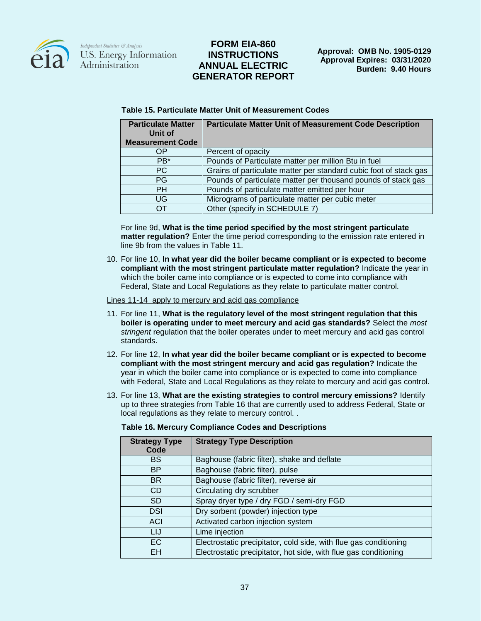

## **FORM EIA-860 INSTRUCTIONS ANNUAL ELECTRIC GENERATOR REPORT**

| <b>Particulate Matter</b><br>Unit of<br><b>Measurement Code</b> | <b>Particulate Matter Unit of Measurement Code Description</b>    |
|-----------------------------------------------------------------|-------------------------------------------------------------------|
| ΟP                                                              | Percent of opacity                                                |
| $PB*$                                                           | Pounds of Particulate matter per million Btu in fuel              |
| PC.                                                             | Grains of particulate matter per standard cubic foot of stack gas |
| <b>PG</b>                                                       | Pounds of particulate matter per thousand pounds of stack gas     |
| <b>PH</b>                                                       | Pounds of particulate matter emitted per hour                     |
| UG                                                              | Micrograms of particulate matter per cubic meter                  |
| OТ                                                              | Other (specify in SCHEDULE 7)                                     |

#### **Table 15. Particulate Matter Unit of Measurement Codes**

For line 9d, **What is the time period specified by the most stringent particulate matter regulation?** Enter the time period corresponding to the emission rate entered in line 9b from the values in Table 11.

10. For line 10, **In what year did the boiler became compliant or is expected to become compliant with the most stringent particulate matter regulation?** Indicate the year in which the boiler came into compliance or is expected to come into compliance with Federal, State and Local Regulations as they relate to particulate matter control.

Lines 11-14 apply to mercury and acid gas compliance

- 11. For line 11, **What is the regulatory level of the most stringent regulation that this boiler is operating under to meet mercury and acid gas standards?** Select the *most stringent* regulation that the boiler operates under to meet mercury and acid gas control standards.
- 12. For line 12, **In what year did the boiler became compliant or is expected to become compliant with the most stringent mercury and acid gas regulation?** Indicate the year in which the boiler came into compliance or is expected to come into compliance with Federal, State and Local Regulations as they relate to mercury and acid gas control.
- 13. For line 13, **What are the existing strategies to control mercury emissions?** Identify up to three strategies from Table 16 that are currently used to address Federal, State or local regulations as they relate to mercury control. .

| <b>Strategy Type</b><br>Code | <b>Strategy Type Description</b>                                  |
|------------------------------|-------------------------------------------------------------------|
| <b>BS</b>                    | Baghouse (fabric filter), shake and deflate                       |
| <b>BP</b>                    | Baghouse (fabric filter), pulse                                   |
| <b>BR</b>                    | Baghouse (fabric filter), reverse air                             |
| <b>CD</b>                    | Circulating dry scrubber                                          |
| <b>SD</b>                    | Spray dryer type / dry FGD / semi-dry FGD                         |
| <b>DSI</b>                   | Dry sorbent (powder) injection type                               |
| ACI                          | Activated carbon injection system                                 |
| LIJ                          | Lime injection                                                    |
| EC                           | Electrostatic precipitator, cold side, with flue gas conditioning |
| EH                           | Electrostatic precipitator, hot side, with flue gas conditioning  |

#### **Table 16. Mercury Compliance Codes and Descriptions**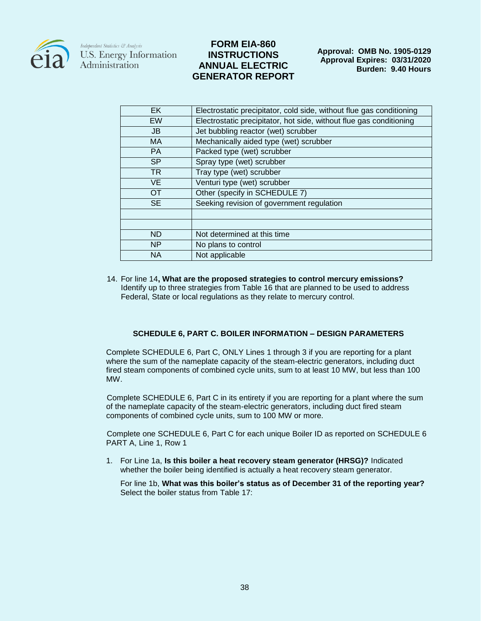

### **FORM EIA-860 INSTRUCTIONS ANNUAL ELECTRIC GENERATOR REPORT**

| EK        | Electrostatic precipitator, cold side, without flue gas conditioning |  |  |
|-----------|----------------------------------------------------------------------|--|--|
| <b>EW</b> | Electrostatic precipitator, hot side, without flue gas conditioning  |  |  |
| <b>JB</b> | Jet bubbling reactor (wet) scrubber                                  |  |  |
| <b>MA</b> | Mechanically aided type (wet) scrubber                               |  |  |
| <b>PA</b> | Packed type (wet) scrubber                                           |  |  |
| <b>SP</b> | Spray type (wet) scrubber                                            |  |  |
| <b>TR</b> | Tray type (wet) scrubber                                             |  |  |
| <b>VE</b> | Venturi type (wet) scrubber                                          |  |  |
| <b>OT</b> | Other (specify in SCHEDULE 7)                                        |  |  |
| <b>SE</b> | Seeking revision of government regulation                            |  |  |
|           |                                                                      |  |  |
|           |                                                                      |  |  |
| <b>ND</b> | Not determined at this time                                          |  |  |
| <b>NP</b> | No plans to control                                                  |  |  |
| <b>NA</b> | Not applicable                                                       |  |  |

14. For line 14**, What are the proposed strategies to control mercury emissions?** Identify up to three strategies from Table 16 that are planned to be used to address Federal, State or local regulations as they relate to mercury control.

### **SCHEDULE 6, PART C. BOILER INFORMATION – DESIGN PARAMETERS**

Complete SCHEDULE 6, Part C, ONLY Lines 1 through 3 if you are reporting for a plant where the sum of the nameplate capacity of the steam-electric generators, including duct fired steam components of combined cycle units, sum to at least 10 MW, but less than 100 MW.

Complete SCHEDULE 6, Part C in its entirety if you are reporting for a plant where the sum of the nameplate capacity of the steam-electric generators, including duct fired steam components of combined cycle units, sum to 100 MW or more.

Complete one SCHEDULE 6, Part C for each unique Boiler ID as reported on SCHEDULE 6 PART A, Line 1, Row 1

1. For Line 1a, **Is this boiler a heat recovery steam generator (HRSG)?** Indicated whether the boiler being identified is actually a heat recovery steam generator.

For line 1b, **What was this boiler's status as of December 31 of the reporting year?**  Select the boiler status from Table 17: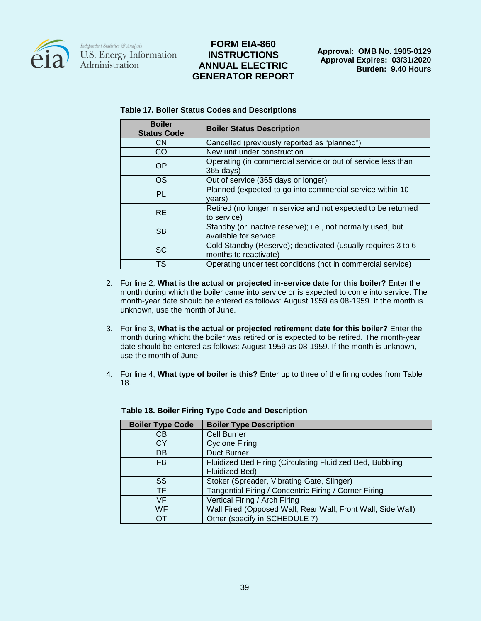

## **FORM EIA-860 INSTRUCTIONS ANNUAL ELECTRIC GENERATOR REPORT**

**Approval: OMB No. 1905-0129 Approval Expires: 03/31/2020 Burden: 9.40 Hours**

| <b>Boiler</b><br><b>Status Code</b> | <b>Boiler Status Description</b>                                                      |
|-------------------------------------|---------------------------------------------------------------------------------------|
| <b>CN</b>                           | Cancelled (previously reported as "planned")                                          |
| CO                                  | New unit under construction                                                           |
| OP                                  | Operating (in commercial service or out of service less than<br>365 days)             |
| <b>OS</b>                           | Out of service (365 days or longer)                                                   |
| <b>PL</b>                           | Planned (expected to go into commercial service within 10<br>years)                   |
| <b>RE</b>                           | Retired (no longer in service and not expected to be returned<br>to service)          |
| <b>SB</b>                           | Standby (or inactive reserve); i.e., not normally used, but<br>available for service  |
| <b>SC</b>                           | Cold Standby (Reserve); deactivated (usually requires 3 to 6<br>months to reactivate) |
| <b>TS</b>                           | Operating under test conditions (not in commercial service)                           |

#### **Table 17. Boiler Status Codes and Descriptions**

- 2. For line 2, **What is the actual or projected in-service date for this boiler?** Enter the month during which the boiler came into service or is expected to come into service. The month-year date should be entered as follows: August 1959 as 08-1959. If the month is unknown, use the month of June.
- 3. For line 3, **What is the actual or projected retirement date for this boiler?** Enter the month during whicht the boiler was retired or is expected to be retired. The month-year date should be entered as follows: August 1959 as 08-1959. If the month is unknown, use the month of June.
- 4. For line 4, **What type of boiler is this?** Enter up to three of the firing codes from Table 18.

| <b>Boiler Type Code</b> | <b>Boiler Type Description</b>                              |  |
|-------------------------|-------------------------------------------------------------|--|
| CВ                      | Cell Burner                                                 |  |
| СY                      | <b>Cyclone Firing</b>                                       |  |
| DB                      | <b>Duct Burner</b>                                          |  |
| FB.                     | Fluidized Bed Firing (Circulating Fluidized Bed, Bubbling   |  |
|                         | <b>Fluidized Bed)</b>                                       |  |
| SS                      | Stoker (Spreader, Vibrating Gate, Slinger)                  |  |
| TF.                     | Tangential Firing / Concentric Firing / Corner Firing       |  |
| VF.                     | Vertical Firing / Arch Firing                               |  |
| WF                      | Wall Fired (Opposed Wall, Rear Wall, Front Wall, Side Wall) |  |
| OТ                      | Other (specify in SCHEDULE 7)                               |  |

#### **Table 18. Boiler Firing Type Code and Description**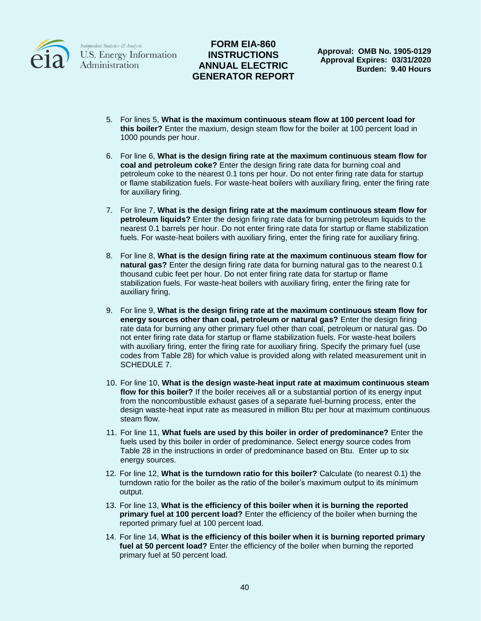

## **FORM EIA-860 INSTRUCTIONS ANNUAL ELECTRIC GENERATOR REPORT**

**Approval: OMB No. 1905-0129 Approval Expires: 03/31/2020 Burden: 9.40 Hours**

- 5. For lines 5, **What is the maximum continuous steam flow at 100 percent load for this boiler?** Enter the maxium, design steam flow for the boiler at 100 percent load in 1000 pounds per hour.
- 6. For line 6, **What is the design firing rate at the maximum continuous steam flow for coal and petroleum coke?** Enter the design firing rate data for burning coal and petroleum coke to the nearest 0.1 tons per hour. Do not enter firing rate data for startup or flame stabilization fuels. For waste-heat boilers with auxiliary firing, enter the firing rate for auxiliary firing.
- 7. For line 7, **What is the design firing rate at the maximum continuous steam flow for petroleum liquids?** Enter the design firing rate data for burning petroleum liquids to the nearest 0.1 barrels per hour. Do not enter firing rate data for startup or flame stabilization fuels. For waste-heat boilers with auxiliary firing, enter the firing rate for auxiliary firing.
- 8. For line 8, **What is the design firing rate at the maximum continuous steam flow for natural gas?** Enter the design firing rate data for burning natural gas to the nearest 0.1 thousand cubic feet per hour. Do not enter firing rate data for startup or flame stabilization fuels. For waste-heat boilers with auxiliary firing, enter the firing rate for auxiliary firing.
- 9. For line 9, **What is the design firing rate at the maximum continuous steam flow for energy sources other than coal, petroleum or natural gas?** Enter the design firing rate data for burning any other primary fuel other than coal, petroleum or natural gas. Do not enter firing rate data for startup or flame stabilization fuels. For waste-heat boilers with auxiliary firing, enter the firing rate for auxiliary firing. Specify the primary fuel (use codes from Table 28) for which value is provided along with related measurement unit in SCHEDULE 7.
- 10. For line 10, **What is the design waste-heat input rate at maximum continuous steam flow for this boiler?** If the boiler receives all or a substantial portion of its energy input from the noncombustible exhaust gases of a separate fuel-burning process, enter the design waste-heat input rate as measured in million Btu per hour at maximum continuous steam flow.
- 11. For line 11, **What fuels are used by this boiler in order of predominance?** Enter the fuels used by this boiler in order of predominance. Select energy source codes from Table 28 in the instructions in order of predominance based on Btu. Enter up to six energy sources.
- 12. For line 12, **What is the turndown ratio for this boiler?** Calculate (to nearest 0.1) the turndown ratio for the boiler as the ratio of the boiler's maximum output to its minimum output.
- 13. For line 13, **What is the efficiency of this boiler when it is burning the reported primary fuel at 100 percent load?** Enter the efficiency of the boiler when burning the reported primary fuel at 100 percent load.
- 14. For line 14, **What is the efficiency of this boiler when it is burning reported primary fuel at 50 percent load?** Enter the efficiency of the boiler when burning the reported primary fuel at 50 percent load.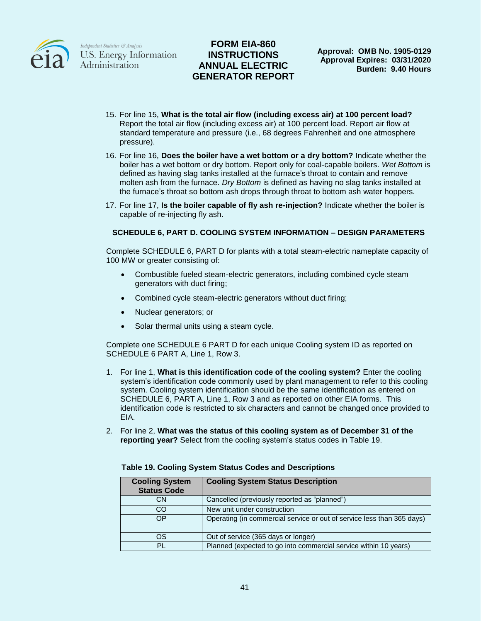

## **FORM EIA-860 INSTRUCTIONS ANNUAL ELECTRIC GENERATOR REPORT**

- 15. For line 15, **What is the total air flow (including excess air) at 100 percent load?** Report the total air flow (including excess air) at 100 percent load. Report air flow at standard temperature and pressure (i.e., 68 degrees Fahrenheit and one atmosphere pressure).
- 16. For line 16, **Does the boiler have a wet bottom or a dry bottom?** Indicate whether the boiler has a wet bottom or dry bottom. Report only for coal-capable boilers. *Wet Bottom* is defined as having slag tanks installed at the furnace's throat to contain and remove molten ash from the furnace. *Dry Bottom* is defined as having no slag tanks installed at the furnace's throat so bottom ash drops through throat to bottom ash water hoppers.
- 17. For line 17, **Is the boiler capable of fly ash re-injection?** Indicate whether the boiler is capable of re-injecting fly ash.

### **SCHEDULE 6, PART D. COOLING SYSTEM INFORMATION – DESIGN PARAMETERS**

Complete SCHEDULE 6, PART D for plants with a total steam-electric nameplate capacity of 100 MW or greater consisting of:

- Combustible fueled steam-electric generators, including combined cycle steam generators with duct firing;
- Combined cycle steam-electric generators without duct firing;
- Nuclear generators; or
- Solar thermal units using a steam cycle.

Complete one SCHEDULE 6 PART D for each unique Cooling system ID as reported on SCHEDULE 6 PART A, Line 1, Row 3.

- 1. For line 1, **What is this identification code of the cooling system?** Enter the cooling system's identification code commonly used by plant management to refer to this cooling system. Cooling system identification should be the same identification as entered on SCHEDULE 6, PART A, Line 1, Row 3 and as reported on other EIA forms. This identification code is restricted to six characters and cannot be changed once provided to EIA.
- 2. For line 2, **What was the status of this cooling system as of December 31 of the reporting year?** Select from the cooling system's status codes in Table 19.

| <b>Cooling System</b><br><b>Status Code</b> | <b>Cooling System Status Description</b>                               |  |
|---------------------------------------------|------------------------------------------------------------------------|--|
| CΝ                                          | Cancelled (previously reported as "planned")                           |  |
| CO                                          | New unit under construction                                            |  |
| OP                                          | Operating (in commercial service or out of service less than 365 days) |  |
| OS                                          | Out of service (365 days or longer)                                    |  |
| PL                                          | Planned (expected to go into commercial service within 10 years)       |  |

#### **Table 19. Cooling System Status Codes and Descriptions**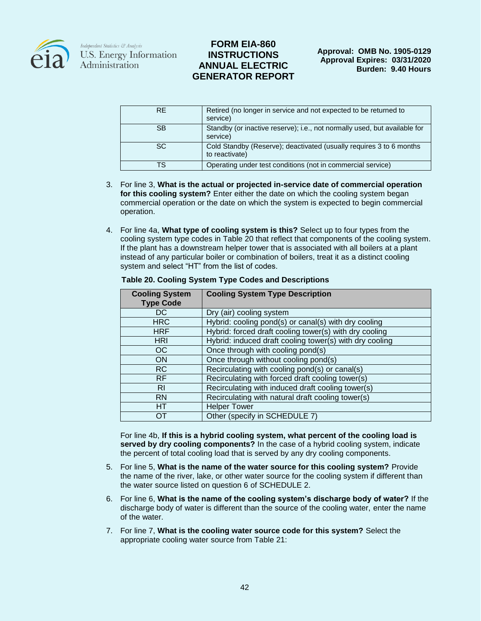

### **FORM EIA-860 INSTRUCTIONS ANNUAL ELECTRIC GENERATOR REPORT**

| <b>RE</b> | Retired (no longer in service and not expected to be returned to<br>service)          |
|-----------|---------------------------------------------------------------------------------------|
| <b>SB</b> | Standby (or inactive reserve); i.e., not normally used, but available for<br>service) |
| SC.       | Cold Standby (Reserve); deactivated (usually requires 3 to 6 months<br>to reactivate) |
| тs        | Operating under test conditions (not in commercial service)                           |

- 3. For line 3, **What is the actual or projected in-service date of commercial operation for this cooling system?** Enter either the date on which the cooling system began commercial operation or the date on which the system is expected to begin commercial operation.
- 4. For line 4a, **What type of cooling system is this?** Select up to four types from the cooling system type codes in Table 20 that reflect that components of the cooling system. If the plant has a downstream helper tower that is associated with all boilers at a plant instead of any particular boiler or combination of boilers, treat it as a distinct cooling system and select "HT" from the list of codes.

| <b>Cooling System</b><br><b>Type Code</b> | <b>Cooling System Type Description</b>                  |
|-------------------------------------------|---------------------------------------------------------|
| DC                                        | Dry (air) cooling system                                |
| <b>HRC</b>                                | Hybrid: cooling pond(s) or canal(s) with dry cooling    |
| <b>HRF</b>                                | Hybrid: forced draft cooling tower(s) with dry cooling  |
| <b>HRI</b>                                | Hybrid: induced draft cooling tower(s) with dry cooling |
| OC                                        | Once through with cooling pond(s)                       |
| <b>ON</b>                                 | Once through without cooling pond(s)                    |
| <b>RC</b>                                 | Recirculating with cooling pond(s) or canal(s)          |
| <b>RF</b>                                 | Recirculating with forced draft cooling tower(s)        |
| RI                                        | Recirculating with induced draft cooling tower(s)       |
| <b>RN</b>                                 | Recirculating with natural draft cooling tower(s)       |
| HT                                        | <b>Helper Tower</b>                                     |
| OТ                                        | Other (specify in SCHEDULE 7)                           |

#### **Table 20. Cooling System Type Codes and Descriptions**

For line 4b, **If this is a hybrid cooling system, what percent of the cooling load is served by dry cooling components?** In the case of a hybrid cooling system, indicate the percent of total cooling load that is served by any dry cooling components.

- 5. For line 5, **What is the name of the water source for this cooling system?** Provide the name of the river, lake, or other water source for the cooling system if different than the water source listed on question 6 of SCHEDULE 2.
- 6. For line 6, **What is the name of the cooling system's discharge body of water?** If the discharge body of water is different than the source of the cooling water, enter the name of the water.
- 7. For line 7, **What is the cooling water source code for this system?** Select the appropriate cooling water source from Table 21: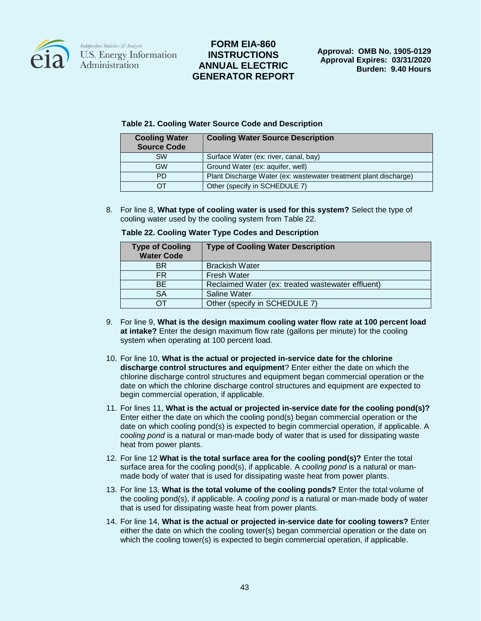

### **FORM EIA-860 INSTRUCTIONS ANNUAL ELECTRIC GENERATOR REPORT**

### **Table 21. Cooling Water Source Code and Description**

| <b>Cooling Water</b><br><b>Source Code</b> | <b>Cooling Water Source Description</b>                          |  |
|--------------------------------------------|------------------------------------------------------------------|--|
| <b>SW</b>                                  | Surface Water (ex: river, canal, bay)                            |  |
| <b>GW</b>                                  | Ground Water (ex: aquifer, well)                                 |  |
| PD                                         | Plant Discharge Water (ex: wastewater treatment plant discharge) |  |
| דר                                         | Other (specify in SCHEDULE 7)                                    |  |

8. For line 8, **What type of cooling water is used for this system?** Select the type of cooling water used by the cooling system from Table 22.

| <b>Type of Cooling</b><br><b>Water Code</b> | <b>Type of Cooling Water Description</b>          |
|---------------------------------------------|---------------------------------------------------|
| <b>BR</b>                                   | <b>Brackish Water</b>                             |
| FR.                                         | <b>Fresh Water</b>                                |
| <b>BE</b>                                   | Reclaimed Water (ex: treated wastewater effluent) |
| <b>SA</b>                                   | <b>Saline Water</b>                               |
| דר                                          | Other (specify in SCHEDULE 7)                     |

**Table 22. Cooling Water Type Codes and Description**

- 9. For line 9, **What is the design maximum cooling water flow rate at 100 percent load at intake?** Enter the design maximum flow rate (gallons per minute) for the cooling system when operating at 100 percent load.
- 10. For line 10, **What is the actual or projected in-service date for the chlorine discharge control structures and equipment**? Enter either the date on which the chlorine discharge control structures and equipment began commercial operation or the date on which the chlorine discharge control structures and equipment are expected to begin commercial operation, if applicable.
- 11. For lines 11, **What is the actual or projected in-service date for the cooling pond(s)?**  Enter either the date on which the cooling pond(s) began commercial operation or the date on which cooling pond(s) is expected to begin commercial operation, if applicable. A *cooling pond* is a natural or man-made body of water that is used for dissipating waste heat from power plants.
- 12. For line 12 **What is the total surface area for the cooling pond(s)?** Enter the total surface area for the cooling pond(s), if applicable. A *cooling pond* is a natural or manmade body of water that is used for dissipating waste heat from power plants.
- 13. For line 13, **What is the total volume of the cooling ponds?** Enter the total volume of the cooling pond(s), if applicable. A *cooling pond* is a natural or man-made body of water that is used for dissipating waste heat from power plants.
- 14. For line 14, **What is the actual or projected in-service date for cooling towers?** Enter either the date on which the cooling tower(s) began commercial operation or the date on which the cooling tower(s) is expected to begin commercial operation, if applicable.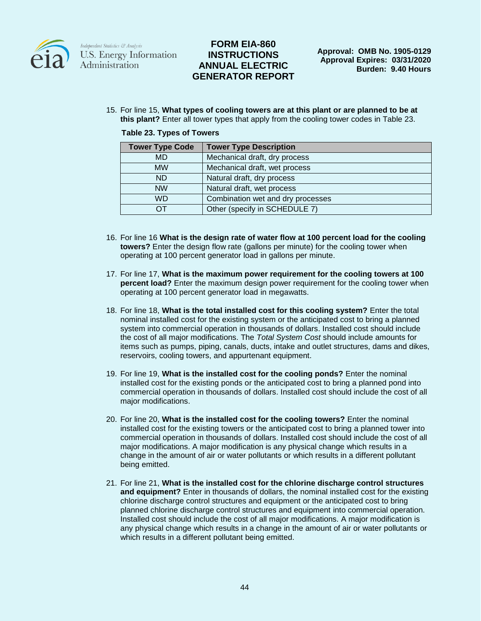

### **FORM EIA-860 INSTRUCTIONS ANNUAL ELECTRIC GENERATOR REPORT**

15. For line 15, **What types of cooling towers are at this plant or are planned to be at this plant?** Enter all tower types that apply from the cooling tower codes in Table 23.

|  |  |  |  | Table 23. Types of Towers |
|--|--|--|--|---------------------------|
|--|--|--|--|---------------------------|

| <b>Tower Type Code</b> | <b>Tower Type Description</b>     |  |
|------------------------|-----------------------------------|--|
| <b>MD</b>              | Mechanical draft, dry process     |  |
| <b>MW</b>              | Mechanical draft, wet process     |  |
| ND.                    | Natural draft, dry process        |  |
| <b>NW</b>              | Natural draft, wet process        |  |
| <b>WD</b>              | Combination wet and dry processes |  |
| ∩⊤                     | Other (specify in SCHEDULE 7)     |  |

- 16. For line 16 **What is the design rate of water flow at 100 percent load for the cooling towers?** Enter the design flow rate (gallons per minute) for the cooling tower when operating at 100 percent generator load in gallons per minute.
- 17. For line 17, **What is the maximum power requirement for the cooling towers at 100 percent load?** Enter the maximum design power requirement for the cooling tower when operating at 100 percent generator load in megawatts.
- 18. For line 18, **What is the total installed cost for this cooling system?** Enter the total nominal installed cost for the existing system or the anticipated cost to bring a planned system into commercial operation in thousands of dollars. Installed cost should include the cost of all major modifications. The *Total System Cost* should include amounts for items such as pumps, piping, canals, ducts, intake and outlet structures, dams and dikes, reservoirs, cooling towers, and appurtenant equipment.
- 19. For line 19, **What is the installed cost for the cooling ponds?** Enter the nominal installed cost for the existing ponds or the anticipated cost to bring a planned pond into commercial operation in thousands of dollars. Installed cost should include the cost of all major modifications.
- 20. For line 20, **What is the installed cost for the cooling towers?** Enter the nominal installed cost for the existing towers or the anticipated cost to bring a planned tower into commercial operation in thousands of dollars. Installed cost should include the cost of all major modifications. A major modification is any physical change which results in a change in the amount of air or water pollutants or which results in a different pollutant being emitted.
- 21. For line 21, **What is the installed cost for the chlorine discharge control structures and equipment?** Enter in thousands of dollars, the nominal installed cost for the existing chlorine discharge control structures and equipment or the anticipated cost to bring planned chlorine discharge control structures and equipment into commercial operation. Installed cost should include the cost of all major modifications. A major modification is any physical change which results in a change in the amount of air or water pollutants or which results in a different pollutant being emitted.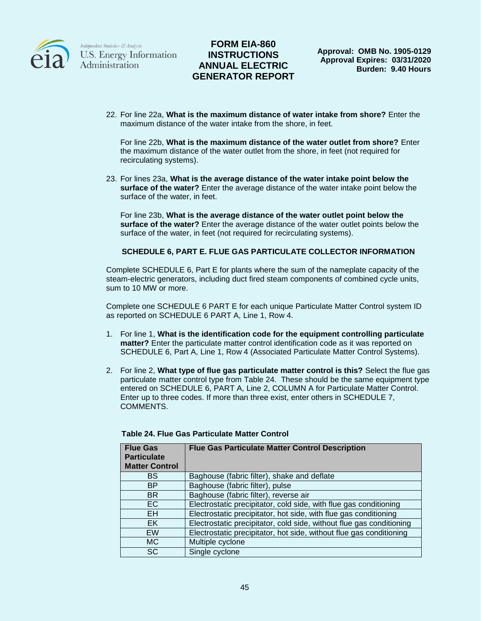

## **FORM EIA-860 INSTRUCTIONS ANNUAL ELECTRIC GENERATOR REPORT**

22. For line 22a, **What is the maximum distance of water intake from shore?** Enter the maximum distance of the water intake from the shore, in feet.

For line 22b, **What is the maximum distance of the water outlet from shore?** Enter the maximum distance of the water outlet from the shore, in feet (not required for recirculating systems).

23. For lines 23a, **What is the average distance of the water intake point below the surface of the water?** Enter the average distance of the water intake point below the surface of the water, in feet.

For line 23b, **What is the average distance of the water outlet point below the surface of the water?** Enter the average distance of the water outlet points below the surface of the water, in feet (not required for recirculating systems).

### **SCHEDULE 6, PART E. FLUE GAS PARTICULATE COLLECTOR INFORMATION**

Complete SCHEDULE 6, Part E for plants where the sum of the nameplate capacity of the steam-electric generators, including duct fired steam components of combined cycle units, sum to 10 MW or more.

Complete one SCHEDULE 6 PART E for each unique Particulate Matter Control system ID as reported on SCHEDULE 6 PART A, Line 1, Row 4.

- 1. For line 1, **What is the identification code for the equipment controlling particulate matter?** Enter the particulate matter control identification code as it was reported on SCHEDULE 6, Part A, Line 1, Row 4 (Associated Particulate Matter Control Systems).
- 2. For line 2, **What type of flue gas particulate matter control is this?** Select the flue gas particulate matter control type from Table 24. These should be the same equipment type entered on SCHEDULE 6, PART A, Line 2, COLUMN A for Particulate Matter Control. Enter up to three codes. If more than three exist, enter others in SCHEDULE 7, COMMENTS.

| <b>Flue Gas</b><br><b>Particulate</b><br><b>Matter Control</b> | <b>Flue Gas Particulate Matter Control Description</b>               |
|----------------------------------------------------------------|----------------------------------------------------------------------|
| BS                                                             | Baghouse (fabric filter), shake and deflate                          |
| <b>BP</b>                                                      | Baghouse (fabric filter), pulse                                      |
| <b>BR</b>                                                      | Baghouse (fabric filter), reverse air                                |
| EC.                                                            | Electrostatic precipitator, cold side, with flue gas conditioning    |
| <b>EH</b>                                                      | Electrostatic precipitator, hot side, with flue gas conditioning     |
| EK                                                             | Electrostatic precipitator, cold side, without flue gas conditioning |
| <b>EW</b>                                                      | Electrostatic precipitator, hot side, without flue gas conditioning  |
| МC                                                             | Multiple cyclone                                                     |
| <b>SC</b>                                                      | Single cyclone                                                       |

#### **Table 24. Flue Gas Particulate Matter Control**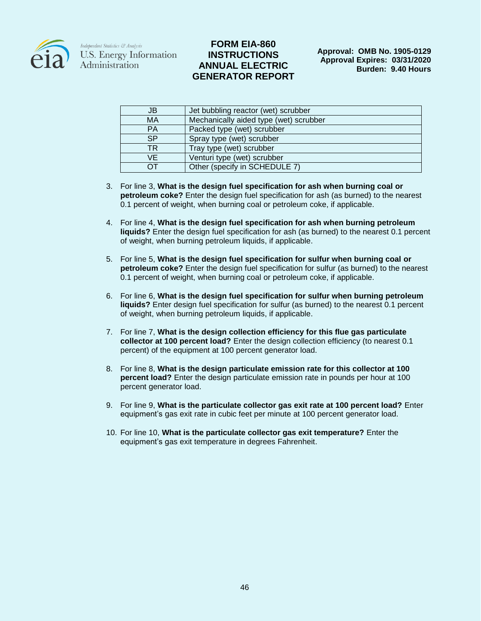

### **FORM EIA-860 INSTRUCTIONS ANNUAL ELECTRIC GENERATOR REPORT**

| JB              | Jet bubbling reactor (wet) scrubber    |
|-----------------|----------------------------------------|
| <b>MA</b>       | Mechanically aided type (wet) scrubber |
| <b>PA</b>       | Packed type (wet) scrubber             |
| <b>SP</b>       | Spray type (wet) scrubber              |
| TR              | Tray type (wet) scrubber               |
| VE.             | Venturi type (wet) scrubber            |
| $\overline{OT}$ | Other (specify in SCHEDULE 7)          |

- 3. For line 3, **What is the design fuel specification for ash when burning coal or petroleum coke?** Enter the design fuel specification for ash (as burned) to the nearest 0.1 percent of weight, when burning coal or petroleum coke, if applicable.
- 4. For line 4, **What is the design fuel specification for ash when burning petroleum liquids?** Enter the design fuel specification for ash (as burned) to the nearest 0.1 percent of weight, when burning petroleum liquids, if applicable.
- 5. For line 5, **What is the design fuel specification for sulfur when burning coal or petroleum coke?** Enter the design fuel specification for sulfur (as burned) to the nearest 0.1 percent of weight, when burning coal or petroleum coke, if applicable.
- 6. For line 6, **What is the design fuel specification for sulfur when burning petroleum liquids?** Enter design fuel specification for sulfur (as burned) to the nearest 0.1 percent of weight, when burning petroleum liquids, if applicable.
- 7. For line 7, **What is the design collection efficiency for this flue gas particulate collector at 100 percent load?** Enter the design collection efficiency (to nearest 0.1 percent) of the equipment at 100 percent generator load.
- 8. For line 8, **What is the design particulate emission rate for this collector at 100 percent load?** Enter the design particulate emission rate in pounds per hour at 100 percent generator load.
- 9. For line 9, **What is the particulate collector gas exit rate at 100 percent load?** Enter equipment's gas exit rate in cubic feet per minute at 100 percent generator load.
- 10. For line 10, **What is the particulate collector gas exit temperature?** Enter the equipment's gas exit temperature in degrees Fahrenheit.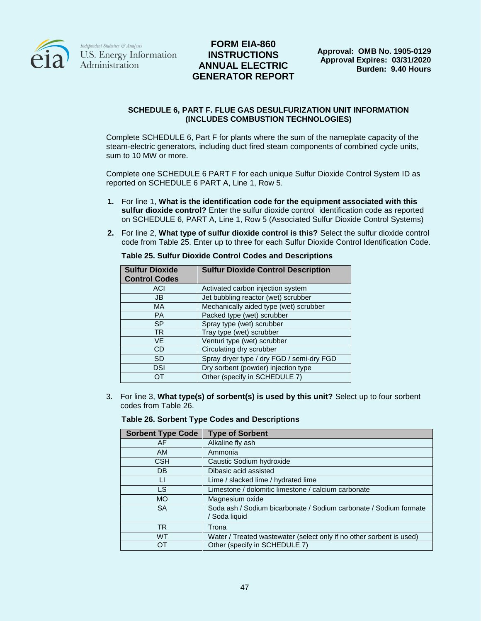

## **FORM EIA-860 INSTRUCTIONS ANNUAL ELECTRIC GENERATOR REPORT**

#### **SCHEDULE 6, PART F. FLUE GAS DESULFURIZATION UNIT INFORMATION (INCLUDES COMBUSTION TECHNOLOGIES)**

Complete SCHEDULE 6, Part F for plants where the sum of the nameplate capacity of the steam-electric generators, including duct fired steam components of combined cycle units, sum to 10 MW or more.

Complete one SCHEDULE 6 PART F for each unique Sulfur Dioxide Control System ID as reported on SCHEDULE 6 PART A, Line 1, Row 5.

- **1.** For line 1, **What is the identification code for the equipment associated with this sulfur dioxide control?** Enter the sulfur dioxide control identification code as reported on SCHEDULE 6, PART A, Line 1, Row 5 (Associated Sulfur Dioxide Control Systems)
- **2.** For line 2, **What type of sulfur dioxide control is this?** Select the sulfur dioxide control code from Table 25. Enter up to three for each Sulfur Dioxide Control Identification Code.

| <b>Sulfur Dioxide</b><br><b>Control Codes</b> | <b>Sulfur Dioxide Control Description</b> |
|-----------------------------------------------|-------------------------------------------|
| <b>ACI</b>                                    | Activated carbon injection system         |
| JB.                                           | Jet bubbling reactor (wet) scrubber       |
| <b>MA</b>                                     | Mechanically aided type (wet) scrubber    |
| <b>PA</b>                                     | Packed type (wet) scrubber                |
| <b>SP</b>                                     | Spray type (wet) scrubber                 |
| <b>TR</b>                                     | Tray type (wet) scrubber                  |
| <b>VE</b>                                     | Venturi type (wet) scrubber               |
| CD                                            | Circulating dry scrubber                  |
| <b>SD</b>                                     | Spray dryer type / dry FGD / semi-dry FGD |
| DSI                                           | Dry sorbent (powder) injection type       |
|                                               | Other (specify in SCHEDULE 7)             |

**Table 25. Sulfur Dioxide Control Codes and Descriptions**

3. For line 3, **What type(s) of sorbent(s) is used by this unit?** Select up to four sorbent codes from Table 26.

#### **Table 26. Sorbent Type Codes and Descriptions**

| <b>Sorbent Type Code</b> | <b>Type of Sorbent</b>                                                             |
|--------------------------|------------------------------------------------------------------------------------|
| AF                       | Alkaline fly ash                                                                   |
| <b>AM</b>                | Ammonia                                                                            |
| CSH                      | Caustic Sodium hydroxide                                                           |
| DB                       | Dibasic acid assisted                                                              |
| LI                       | Lime / slacked lime / hydrated lime                                                |
| LS                       | Limestone / dolomitic limestone / calcium carbonate                                |
| <b>MO</b>                | Magnesium oxide                                                                    |
| <b>SA</b>                | Soda ash / Sodium bicarbonate / Sodium carbonate / Sodium formate<br>/ Soda liquid |
| <b>TR</b>                | Trona                                                                              |
| <b>WT</b>                | Water / Treated wastewater (select only if no other sorbent is used)               |
| OT                       | Other (specify in SCHEDULE 7)                                                      |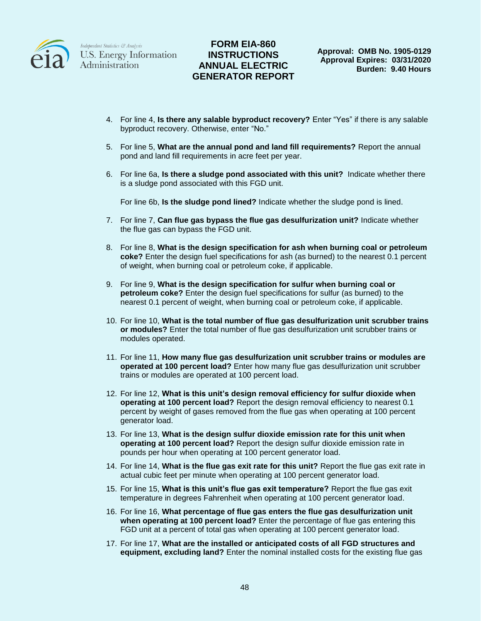

### **FORM EIA-860 INSTRUCTIONS ANNUAL ELECTRIC GENERATOR REPORT**

- 4. For line 4, **Is there any salable byproduct recovery?** Enter "Yes" if there is any salable byproduct recovery. Otherwise, enter "No."
- 5. For line 5, **What are the annual pond and land fill requirements?** Report the annual pond and land fill requirements in acre feet per year.
- 6. For line 6a, **Is there a sludge pond associated with this unit?** Indicate whether there is a sludge pond associated with this FGD unit.

For line 6b, **Is the sludge pond lined?** Indicate whether the sludge pond is lined.

- 7. For line 7, **Can flue gas bypass the flue gas desulfurization unit?** Indicate whether the flue gas can bypass the FGD unit.
- 8. For line 8, **What is the design specification for ash when burning coal or petroleum coke?** Enter the design fuel specifications for ash (as burned) to the nearest 0.1 percent of weight, when burning coal or petroleum coke, if applicable.
- 9. For line 9, **What is the design specification for sulfur when burning coal or petroleum coke?** Enter the design fuel specifications for sulfur (as burned) to the nearest 0.1 percent of weight, when burning coal or petroleum coke, if applicable.
- 10. For line 10, **What is the total number of flue gas desulfurization unit scrubber trains or modules?** Enter the total number of flue gas desulfurization unit scrubber trains or modules operated.
- 11. For line 11, **How many flue gas desulfurization unit scrubber trains or modules are operated at 100 percent load?** Enter how many flue gas desulfurization unit scrubber trains or modules are operated at 100 percent load.
- 12. For line 12, **What is this unit's design removal efficiency for sulfur dioxide when operating at 100 percent load?** Report the design removal efficiency to nearest 0.1 percent by weight of gases removed from the flue gas when operating at 100 percent generator load.
- 13. For line 13, **What is the design sulfur dioxide emission rate for this unit when operating at 100 percent load?** Report the design sulfur dioxide emission rate in pounds per hour when operating at 100 percent generator load.
- 14. For line 14, **What is the flue gas exit rate for this unit?** Report the flue gas exit rate in actual cubic feet per minute when operating at 100 percent generator load.
- 15. For line 15, **What is this unit's flue gas exit temperature?** Report the flue gas exit temperature in degrees Fahrenheit when operating at 100 percent generator load.
- 16. For line 16, **What percentage of flue gas enters the flue gas desulfurization unit when operating at 100 percent load?** Enter the percentage of flue gas entering this FGD unit at a percent of total gas when operating at 100 percent generator load.
- 17. For line 17, **What are the installed or anticipated costs of all FGD structures and equipment, excluding land?** Enter the nominal installed costs for the existing flue gas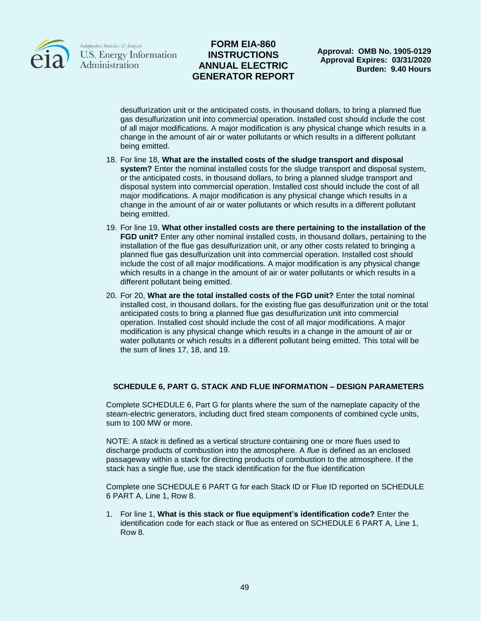

### **FORM EIA-860 INSTRUCTIONS ANNUAL ELECTRIC GENERATOR REPORT**

desulfurization unit or the anticipated costs, in thousand dollars, to bring a planned flue gas desulfurization unit into commercial operation. Installed cost should include the cost of all major modifications. A major modification is any physical change which results in a change in the amount of air or water pollutants or which results in a different pollutant being emitted.

- 18. For line 18, **What are the installed costs of the sludge transport and disposal system?** Enter the nominal installed costs for the sludge transport and disposal system, or the anticipated costs, in thousand dollars, to bring a planned sludge transport and disposal system into commercial operation. Installed cost should include the cost of all major modifications. A major modification is any physical change which results in a change in the amount of air or water pollutants or which results in a different pollutant being emitted.
- 19. For line 19, **What other installed costs are there pertaining to the installation of the FGD unit?** Enter any other nominal installed costs, in thousand dollars, pertaining to the installation of the flue gas desulfurization unit, or any other costs related to bringing a planned flue gas desulfurization unit into commercial operation. Installed cost should include the cost of all major modifications. A major modification is any physical change which results in a change in the amount of air or water pollutants or which results in a different pollutant being emitted.
- 20. For 20, **What are the total installed costs of the FGD unit?** Enter the total nominal installed cost, in thousand dollars, for the existing flue gas desulfurization unit or the total anticipated costs to bring a planned flue gas desulfurization unit into commercial operation. Installed cost should include the cost of all major modifications. A major modification is any physical change which results in a change in the amount of air or water pollutants or which results in a different pollutant being emitted. This total will be the sum of lines 17, 18, and 19.

### **SCHEDULE 6, PART G. STACK AND FLUE INFORMATION – DESIGN PARAMETERS**

Complete SCHEDULE 6, Part G for plants where the sum of the nameplate capacity of the steam-electric generators, including duct fired steam components of combined cycle units, sum to 100 MW or more.

NOTE: A *stack* is defined as a vertical structure containing one or more flues used to discharge products of combustion into the atmosphere. A *flue* is defined as an enclosed passageway within a stack for directing products of combustion to the atmosphere. If the stack has a single flue, use the stack identification for the flue identification

Complete one SCHEDULE 6 PART G for each Stack ID or Flue ID reported on SCHEDULE 6 PART A, Line 1, Row 8.

1. For line 1, **What is this stack or flue equipment's identification code?** Enter the identification code for each stack or flue as entered on SCHEDULE 6 PART A, Line 1, Row 8.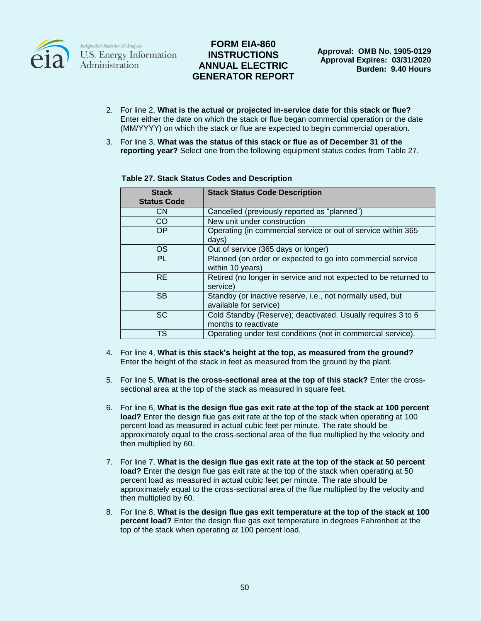

## **FORM EIA-860 INSTRUCTIONS ANNUAL ELECTRIC GENERATOR REPORT**

- 2. For line 2, **What is the actual or projected in-service date for this stack or flue?** Enter either the date on which the stack or flue began commercial operation or the date (MM/YYYY) on which the stack or flue are expected to begin commercial operation.
- 3. For line 3, **What was the status of this stack or flue as of December 31 of the reporting year?** Select one from the following equipment status codes from Table 27.

| <b>Stack</b><br><b>Status Code</b> | <b>Stack Status Code Description</b>                                                 |
|------------------------------------|--------------------------------------------------------------------------------------|
| <b>CN</b>                          | Cancelled (previously reported as "planned")                                         |
| CO                                 | New unit under construction                                                          |
| OP                                 | Operating (in commercial service or out of service within 365<br>days)               |
| <b>OS</b>                          | Out of service (365 days or longer)                                                  |
| PL                                 | Planned (on order or expected to go into commercial service<br>within 10 years)      |
| <b>RE</b>                          | Retired (no longer in service and not expected to be returned to<br>service)         |
| <b>SB</b>                          | Standby (or inactive reserve, i.e., not normally used, but<br>available for service) |
| <b>SC</b>                          | Cold Standby (Reserve); deactivated. Usually requires 3 to 6<br>months to reactivate |
| <b>TS</b>                          | Operating under test conditions (not in commercial service).                         |

#### **Table 27. Stack Status Codes and Description**

- 4. For line 4, **What is this stack's height at the top, as measured from the ground?** Enter the height of the stack in feet as measured from the ground by the plant.
- 5. For line 5, **What is the cross-sectional area at the top of this stack?** Enter the crosssectional area at the top of the stack as measured in square feet.
- 6. For line 6, **What is the design flue gas exit rate at the top of the stack at 100 percent load?** Enter the design flue gas exit rate at the top of the stack when operating at 100 percent load as measured in actual cubic feet per minute. The rate should be approximately equal to the cross-sectional area of the flue multiplied by the velocity and then multiplied by 60.
- 7. For line 7, **What is the design flue gas exit rate at the top of the stack at 50 percent load?** Enter the design flue gas exit rate at the top of the stack when operating at 50 percent load as measured in actual cubic feet per minute. The rate should be approximately equal to the cross-sectional area of the flue multiplied by the velocity and then multiplied by 60.
- 8. For line 8, **What is the design flue gas exit temperature at the top of the stack at 100 percent load?** Enter the design flue gas exit temperature in degrees Fahrenheit at the top of the stack when operating at 100 percent load.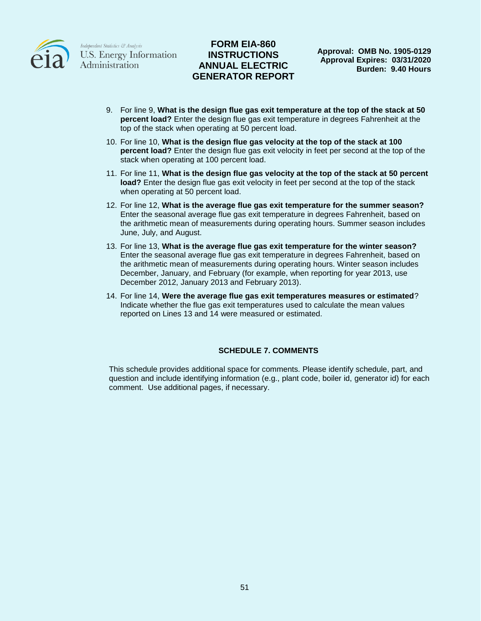

## **FORM EIA-860 INSTRUCTIONS ANNUAL ELECTRIC GENERATOR REPORT**

- 9. For line 9, **What is the design flue gas exit temperature at the top of the stack at 50 percent load?** Enter the design flue gas exit temperature in degrees Fahrenheit at the top of the stack when operating at 50 percent load.
- 10. For line 10, **What is the design flue gas velocity at the top of the stack at 100 percent load?** Enter the design flue gas exit velocity in feet per second at the top of the stack when operating at 100 percent load.
- 11. For line 11, **What is the design flue gas velocity at the top of the stack at 50 percent load?** Enter the design flue gas exit velocity in feet per second at the top of the stack when operating at 50 percent load.
- 12. For line 12, **What is the average flue gas exit temperature for the summer season?** Enter the seasonal average flue gas exit temperature in degrees Fahrenheit, based on the arithmetic mean of measurements during operating hours. Summer season includes June, July, and August.
- 13. For line 13, **What is the average flue gas exit temperature for the winter season?**  Enter the seasonal average flue gas exit temperature in degrees Fahrenheit, based on the arithmetic mean of measurements during operating hours. Winter season includes December, January, and February (for example, when reporting for year 2013, use December 2012, January 2013 and February 2013).
- 14. For line 14, **Were the average flue gas exit temperatures measures or estimated**? Indicate whether the flue gas exit temperatures used to calculate the mean values reported on Lines 13 and 14 were measured or estimated.

### **SCHEDULE 7. COMMENTS**

This schedule provides additional space for comments. Please identify schedule, part, and question and include identifying information (e.g., plant code, boiler id, generator id) for each comment. Use additional pages, if necessary.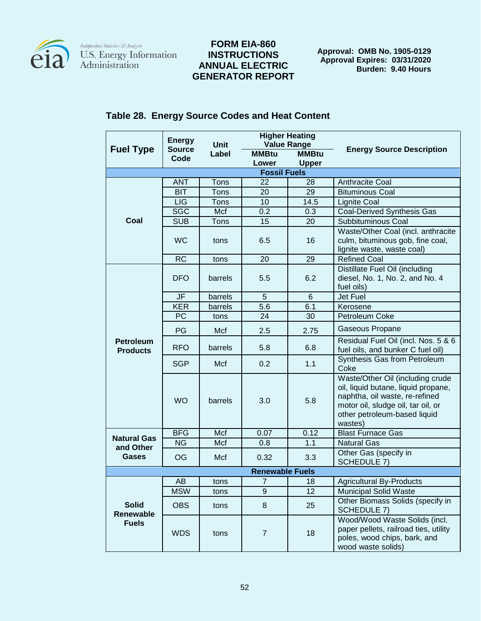

## **FORM EIA-860 INSTRUCTIONS ANNUAL ELECTRIC GENERATOR REPORT**

**Approval: OMB No. 1905-0129 Approval Expires: 03/31/2020 Burden: 9.40 Hours**

|                                           | <b>Energy</b>         | <b>Higher Heating</b> |                        |                 |                                                                                                                                                                                            |
|-------------------------------------------|-----------------------|-----------------------|------------------------|-----------------|--------------------------------------------------------------------------------------------------------------------------------------------------------------------------------------------|
| <b>Fuel Type</b>                          | <b>Source</b><br>Code | Unit<br>Label         | <b>Value Range</b>     |                 | <b>Energy Source Description</b>                                                                                                                                                           |
|                                           |                       |                       | <b>MMBtu</b>           | <b>MMBtu</b>    |                                                                                                                                                                                            |
|                                           |                       |                       | Lower                  | <b>Upper</b>    |                                                                                                                                                                                            |
|                                           |                       |                       | <b>Fossil Fuels</b>    |                 |                                                                                                                                                                                            |
|                                           | <b>ANT</b>            | Tons                  | 22                     | 28              | Anthracite Coal                                                                                                                                                                            |
|                                           | <b>BIT</b>            | Tons                  | 20                     | 29              | <b>Bituminous Coal</b>                                                                                                                                                                     |
|                                           | <b>LIG</b>            | Tons                  | 10                     | 14.5            | <b>Lignite Coal</b>                                                                                                                                                                        |
|                                           | <b>SGC</b>            | Mcf                   | 0.2                    | 0.3             | <b>Coal-Derived Synthesis Gas</b>                                                                                                                                                          |
| Coal                                      | <b>SUB</b>            | <b>Tons</b>           | 15                     | 20              | Subbituminous Coal                                                                                                                                                                         |
|                                           | <b>WC</b>             | tons                  | 6.5                    | 16              | Waste/Other Coal (incl. anthracite<br>culm, bituminous gob, fine coal,<br>lignite waste, waste coal)                                                                                       |
|                                           | <b>RC</b>             | tons                  | 20                     | 29              | <b>Refined Coal</b>                                                                                                                                                                        |
|                                           | <b>DFO</b>            | barrels               | 5.5                    | 6.2             | Distillate Fuel Oil (including<br>diesel, No. 1, No. 2, and No. 4<br>fuel oils)                                                                                                            |
|                                           | JF                    | barrels               | 5                      | $6\phantom{1}6$ | <b>Jet Fuel</b>                                                                                                                                                                            |
|                                           | <b>KER</b>            | barrels               | 5.6                    | 6.1             | Kerosene                                                                                                                                                                                   |
|                                           | PC                    | tons                  | 24                     | 30              | Petroleum Coke                                                                                                                                                                             |
|                                           | PG                    | Mcf                   | 2.5                    | 2.75            | Gaseous Propane                                                                                                                                                                            |
| <b>Petroleum</b><br><b>Products</b>       | <b>RFO</b>            | barrels               | 5.8                    | 6.8             | Residual Fuel Oil (incl. Nos. 5 & 6<br>fuel oils, and bunker C fuel oil)                                                                                                                   |
|                                           | <b>SGP</b>            | Mcf                   | 0.2                    | 1.1             | Synthesis Gas from Petroleum<br>Coke                                                                                                                                                       |
|                                           | <b>WO</b>             | barrels               | 3.0                    | 5.8             | Waste/Other Oil (including crude<br>oil, liquid butane, liquid propane,<br>naphtha, oil waste, re-refined<br>motor oil, sludge oil, tar oil, or<br>other petroleum-based liquid<br>wastes) |
| <b>Natural Gas</b>                        | <b>BFG</b>            | Mcf                   | 0.07                   | 0.12            | <b>Blast Furnace Gas</b>                                                                                                                                                                   |
| and Other                                 | <b>NG</b>             | Mcf                   | 0.8                    | 1.1             | <b>Natural Gas</b>                                                                                                                                                                         |
| Gases                                     | OG                    | Mcf                   | 0.32                   | 3.3             | Other Gas (specify in<br><b>SCHEDULE 7)</b>                                                                                                                                                |
|                                           |                       |                       | <b>Renewable Fuels</b> |                 |                                                                                                                                                                                            |
|                                           | AΒ                    | tons                  | $\overline{7}$         | 18              | <b>Agricultural By-Products</b>                                                                                                                                                            |
|                                           | <b>MSW</b>            | tons                  | 9                      | 12              | <b>Municipal Solid Waste</b>                                                                                                                                                               |
| <b>Solid</b><br>Renewable<br><b>Fuels</b> | <b>OBS</b>            | tons                  | $\bf 8$                | 25              | Other Biomass Solids (specify in<br><b>SCHEDULE 7)</b>                                                                                                                                     |
|                                           | <b>WDS</b>            | tons                  | $\overline{7}$         | 18              | Wood/Wood Waste Solids (incl.<br>paper pellets, railroad ties, utility<br>poles, wood chips, bark, and<br>wood waste solids)                                                               |

# **Table 28. Energy Source Codes and Heat Content**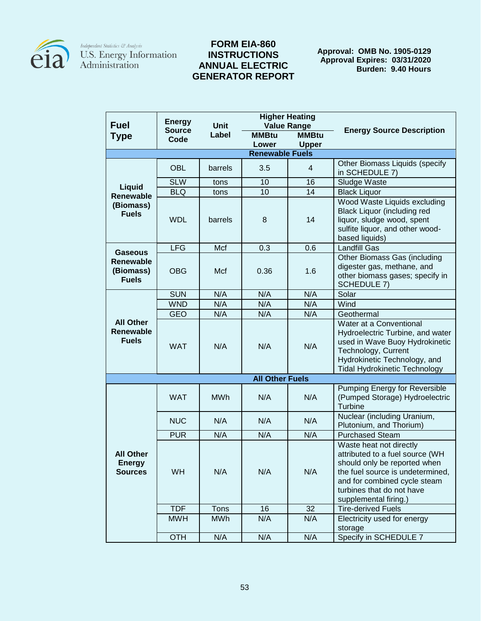

## **FORM EIA-860 INSTRUCTIONS ANNUAL ELECTRIC GENERATOR REPORT**

**Approval: OMB No. 1905-0129 Approval Expires: 03/31/2020 Burden: 9.40 Hours**

|                                                      | <b>Energy</b> |             | <b>Higher Heating</b>  |                              |                                                                                                                                                                                                                      |  |
|------------------------------------------------------|---------------|-------------|------------------------|------------------------------|----------------------------------------------------------------------------------------------------------------------------------------------------------------------------------------------------------------------|--|
| <b>Fuel</b>                                          | <b>Source</b> | <b>Unit</b> | <b>Value Range</b>     |                              | <b>Energy Source Description</b>                                                                                                                                                                                     |  |
| <b>Type</b>                                          | Code          | Label       | <b>MMBtu</b><br>Lower  | <b>MMBtu</b><br><b>Upper</b> |                                                                                                                                                                                                                      |  |
| <b>Renewable Fuels</b>                               |               |             |                        |                              |                                                                                                                                                                                                                      |  |
|                                                      |               |             |                        |                              | Other Biomass Liquids (specify                                                                                                                                                                                       |  |
|                                                      | <b>OBL</b>    | barrels     | 3.5                    | $\overline{4}$               | in SCHEDULE 7)                                                                                                                                                                                                       |  |
| <b>Liquid</b>                                        | <b>SLW</b>    | tons        | 10                     | 16                           | Sludge Waste                                                                                                                                                                                                         |  |
| <b>Renewable</b>                                     | <b>BLQ</b>    | tons        | $\overline{10}$        | $\overline{14}$              | <b>Black Liquor</b>                                                                                                                                                                                                  |  |
| (Biomass)<br><b>Fuels</b>                            | <b>WDL</b>    | barrels     | 8                      | 14                           | Wood Waste Liquids excluding<br>Black Liquor (including red<br>liquor, sludge wood, spent<br>sulfite liquor, and other wood-<br>based liquids)                                                                       |  |
| <b>Gaseous</b>                                       | <b>LFG</b>    | Mcf         | 0.3                    | 0.6                          | <b>Landfill Gas</b>                                                                                                                                                                                                  |  |
| <b>Renewable</b><br>(Biomass)<br><b>Fuels</b>        | <b>OBG</b>    | Mcf         | 0.36                   | 1.6                          | Other Biomass Gas (including<br>digester gas, methane, and<br>other biomass gases; specify in<br><b>SCHEDULE 7)</b>                                                                                                  |  |
|                                                      | <b>SUN</b>    | N/A         | N/A                    | N/A                          | Solar                                                                                                                                                                                                                |  |
|                                                      | <b>WND</b>    | N/A         | N/A                    | N/A                          | Wind                                                                                                                                                                                                                 |  |
|                                                      | <b>GEO</b>    | N/A         | N/A                    | N/A                          | Geothermal                                                                                                                                                                                                           |  |
| <b>All Other</b><br><b>Renewable</b><br><b>Fuels</b> | <b>WAT</b>    | N/A         | N/A                    | N/A                          | Water at a Conventional<br>Hydroelectric Turbine, and water<br>used in Wave Buoy Hydrokinetic<br>Technology, Current<br>Hydrokinetic Technology, and<br><b>Tidal Hydrokinetic Technology</b>                         |  |
|                                                      |               |             | <b>All Other Fuels</b> |                              |                                                                                                                                                                                                                      |  |
|                                                      | <b>WAT</b>    | <b>MWh</b>  | N/A                    | N/A                          | <b>Pumping Energy for Reversible</b><br>(Pumped Storage) Hydroelectric<br>Turbine                                                                                                                                    |  |
|                                                      | <b>NUC</b>    | N/A         | N/A                    | N/A                          | Nuclear (including Uranium,<br>Plutonium, and Thorium)                                                                                                                                                               |  |
|                                                      | <b>PUR</b>    | N/A         | N/A                    | N/A                          | <b>Purchased Steam</b>                                                                                                                                                                                               |  |
| <b>All Other</b><br><b>Energy</b><br><b>Sources</b>  | WH            | N/A         | N/A                    | N/A                          | Waste heat not directly<br>attributed to a fuel source (WH<br>should only be reported when<br>the fuel source is undetermined,<br>and for combined cycle steam<br>turbines that do not have<br>supplemental firing.) |  |
|                                                      | <b>TDF</b>    | Tons        | 16                     | 32                           | <b>Tire-derived Fuels</b>                                                                                                                                                                                            |  |
|                                                      | <b>MWH</b>    | <b>MWh</b>  | N/A                    | N/A                          | Electricity used for energy<br>storage                                                                                                                                                                               |  |
|                                                      | <b>OTH</b>    | N/A         | N/A                    | N/A                          | Specify in SCHEDULE 7                                                                                                                                                                                                |  |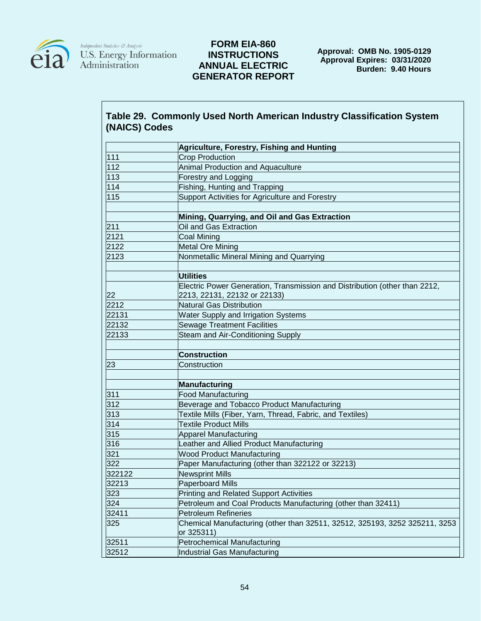

## **FORM EIA-860 INSTRUCTIONS ANNUAL ELECTRIC GENERATOR REPORT**

# **Table 29. Commonly Used North American Industry Classification System (NAICS) Codes**

|        | Agriculture, Forestry, Fishing and Hunting                                               |
|--------|------------------------------------------------------------------------------------------|
| 111    | <b>Crop Production</b>                                                                   |
| 112    | Animal Production and Aquaculture                                                        |
| 113    | Forestry and Logging                                                                     |
| 114    | Fishing, Hunting and Trapping                                                            |
| 115    | Support Activities for Agriculture and Forestry                                          |
|        |                                                                                          |
|        | Mining, Quarrying, and Oil and Gas Extraction                                            |
| 211    | Oil and Gas Extraction                                                                   |
| 2121   | <b>Coal Mining</b>                                                                       |
| 2122   | <b>Metal Ore Mining</b>                                                                  |
| 2123   | Nonmetallic Mineral Mining and Quarrying                                                 |
|        |                                                                                          |
|        | <b>Utilities</b>                                                                         |
|        | Electric Power Generation, Transmission and Distribution (other than 2212,               |
| 22     | 2213, 22131, 22132 or 22133)                                                             |
| 2212   | <b>Natural Gas Distribution</b>                                                          |
| 22131  | Water Supply and Irrigation Systems                                                      |
| 22132  | <b>Sewage Treatment Facilities</b>                                                       |
| 22133  | Steam and Air-Conditioning Supply                                                        |
|        |                                                                                          |
|        | <b>Construction</b>                                                                      |
| 23     | Construction                                                                             |
|        |                                                                                          |
|        | Manufacturing                                                                            |
| 311    | <b>Food Manufacturing</b>                                                                |
| 312    | Beverage and Tobacco Product Manufacturing                                               |
| 313    | Textile Mills (Fiber, Yarn, Thread, Fabric, and Textiles)                                |
| 314    | <b>Textile Product Mills</b>                                                             |
| 315    | <b>Apparel Manufacturing</b>                                                             |
| 316    | Leather and Allied Product Manufacturing                                                 |
| 321    | <b>Wood Product Manufacturing</b>                                                        |
| 322    | Paper Manufacturing (other than 322122 or 32213)                                         |
| 322122 | <b>Newsprint Mills</b>                                                                   |
| 32213  | <b>Paperboard Mills</b>                                                                  |
| 323    | <b>Printing and Related Support Activities</b>                                           |
| 324    | Petroleum and Coal Products Manufacturing (other than 32411)                             |
| 32411  | <b>Petroleum Refineries</b>                                                              |
| 325    | Chemical Manufacturing (other than 32511, 32512, 325193, 3252 325211, 3253<br>or 325311) |
| 32511  | <b>Petrochemical Manufacturing</b>                                                       |
| 32512  | Industrial Gas Manufacturing                                                             |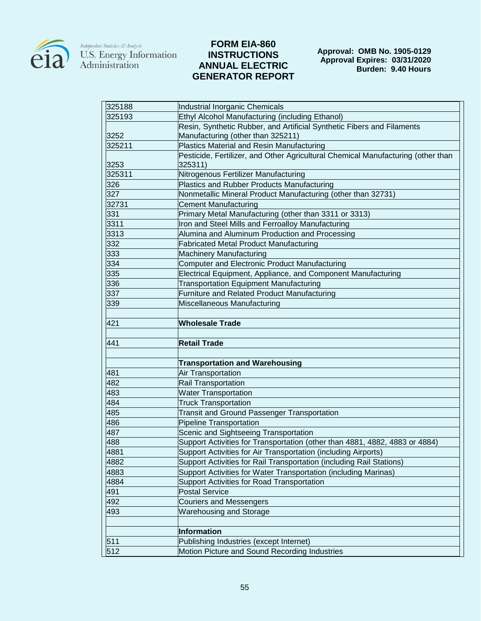

# **FORM EIA-860 INSTRUCTIONS ANNUAL ELECTRIC GENERATOR REPORT**

**Approval: OMB No. 1905-0129 Approval Expires: 03/31/2020 Burden: 9.40 Hours**

| 325188     | Industrial Inorganic Chemicals                                                           |  |  |  |  |  |
|------------|------------------------------------------------------------------------------------------|--|--|--|--|--|
| 325193     | Ethyl Alcohol Manufacturing (including Ethanol)                                          |  |  |  |  |  |
|            | Resin, Synthetic Rubber, and Artificial Synthetic Fibers and Filaments                   |  |  |  |  |  |
| 3252       | Manufacturing (other than 325211)                                                        |  |  |  |  |  |
| 325211     | Plastics Material and Resin Manufacturing                                                |  |  |  |  |  |
|            | Pesticide, Fertilizer, and Other Agricultural Chemical Manufacturing (other than         |  |  |  |  |  |
| 3253       | 325311)                                                                                  |  |  |  |  |  |
| 325311     | Nitrogenous Fertilizer Manufacturing                                                     |  |  |  |  |  |
| 326        | <b>Plastics and Rubber Products Manufacturing</b>                                        |  |  |  |  |  |
| 327        | Nonmetallic Mineral Product Manufacturing (other than 32731)                             |  |  |  |  |  |
| 32731      | <b>Cement Manufacturing</b>                                                              |  |  |  |  |  |
| 331        | Primary Metal Manufacturing (other than 3311 or 3313)                                    |  |  |  |  |  |
| 3311       | Iron and Steel Mills and Ferroalloy Manufacturing                                        |  |  |  |  |  |
| 3313       | Alumina and Aluminum Production and Processing                                           |  |  |  |  |  |
| 332        | <b>Fabricated Metal Product Manufacturing</b>                                            |  |  |  |  |  |
| 333        | <b>Machinery Manufacturing</b>                                                           |  |  |  |  |  |
| 334        | Computer and Electronic Product Manufacturing                                            |  |  |  |  |  |
| 335        | Electrical Equipment, Appliance, and Component Manufacturing                             |  |  |  |  |  |
| 336        | <b>Transportation Equipment Manufacturing</b>                                            |  |  |  |  |  |
| 337        | Furniture and Related Product Manufacturing                                              |  |  |  |  |  |
| 339        | Miscellaneous Manufacturing                                                              |  |  |  |  |  |
|            |                                                                                          |  |  |  |  |  |
| 421        | <b>Wholesale Trade</b>                                                                   |  |  |  |  |  |
|            |                                                                                          |  |  |  |  |  |
| 441        | <b>Retail Trade</b>                                                                      |  |  |  |  |  |
|            |                                                                                          |  |  |  |  |  |
|            | <b>Transportation and Warehousing</b>                                                    |  |  |  |  |  |
| 481        | Air Transportation                                                                       |  |  |  |  |  |
| 482        | <b>Rail Transportation</b>                                                               |  |  |  |  |  |
| 483        | <b>Water Transportation</b>                                                              |  |  |  |  |  |
| 484        | <b>Truck Transportation</b>                                                              |  |  |  |  |  |
| 485        | <b>Transit and Ground Passenger Transportation</b>                                       |  |  |  |  |  |
| 486        | Pipeline Transportation                                                                  |  |  |  |  |  |
| 487        | Scenic and Sightseeing Transportation                                                    |  |  |  |  |  |
| 488        | Support Activities for Transportation (other than 4881, 4882, 4883 or 4884)              |  |  |  |  |  |
| 4881       | Support Activities for Air Transportation (including Airports)                           |  |  |  |  |  |
| 4882       | Support Activities for Rail Transportation (including Rail Stations)                     |  |  |  |  |  |
| 4883       | Support Activities for Water Transportation (including Marinas)                          |  |  |  |  |  |
| 4884       | Support Activities for Road Transportation                                               |  |  |  |  |  |
| 491        | <b>Postal Service</b>                                                                    |  |  |  |  |  |
| 492        | <b>Couriers and Messengers</b>                                                           |  |  |  |  |  |
| 493        |                                                                                          |  |  |  |  |  |
|            | Warehousing and Storage                                                                  |  |  |  |  |  |
|            |                                                                                          |  |  |  |  |  |
|            |                                                                                          |  |  |  |  |  |
|            | Information                                                                              |  |  |  |  |  |
| 511<br>512 | Publishing Industries (except Internet)<br>Motion Picture and Sound Recording Industries |  |  |  |  |  |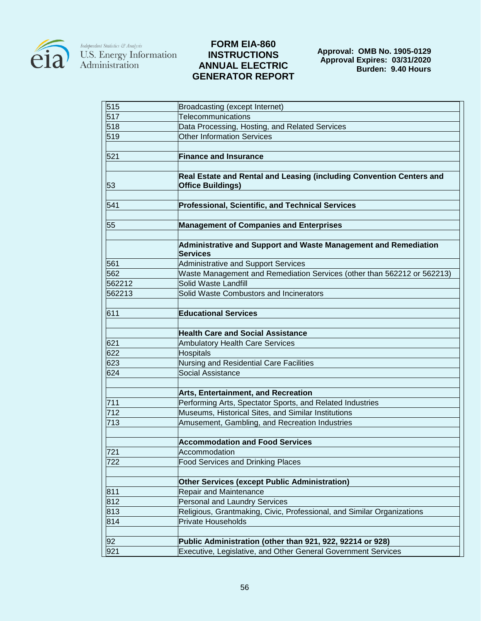

# **FORM EIA-860 INSTRUCTIONS ANNUAL ELECTRIC GENERATOR REPORT**

| 515              | Broadcasting (except Internet)                                                     |
|------------------|------------------------------------------------------------------------------------|
| 517              | Telecommunications                                                                 |
| 518              | Data Processing, Hosting, and Related Services                                     |
| 519              | Other Information Services                                                         |
|                  |                                                                                    |
| 521              | <b>Finance and Insurance</b>                                                       |
|                  |                                                                                    |
|                  | Real Estate and Rental and Leasing (including Convention Centers and               |
| 53               | <b>Office Buildings)</b>                                                           |
| 541              | <b>Professional, Scientific, and Technical Services</b>                            |
|                  |                                                                                    |
| 55               | <b>Management of Companies and Enterprises</b>                                     |
|                  |                                                                                    |
|                  | Administrative and Support and Waste Management and Remediation<br><b>Services</b> |
| 561              | Administrative and Support Services                                                |
| 562              | Waste Management and Remediation Services (other than 562212 or 562213)            |
| 562212           | Solid Waste Landfill                                                               |
| 562213           | Solid Waste Combustors and Incinerators                                            |
|                  |                                                                                    |
| 611              | <b>Educational Services</b>                                                        |
|                  | <b>Health Care and Social Assistance</b>                                           |
| 621              | <b>Ambulatory Health Care Services</b>                                             |
| 622              | <b>Hospitals</b>                                                                   |
| 623              | Nursing and Residential Care Facilities                                            |
| 624              | <b>Social Assistance</b>                                                           |
|                  |                                                                                    |
|                  | Arts, Entertainment, and Recreation                                                |
| 711              | Performing Arts, Spectator Sports, and Related Industries                          |
| 712              | Museums, Historical Sites, and Similar Institutions                                |
| 713              | Amusement, Gambling, and Recreation Industries                                     |
|                  | <b>Accommodation and Food Services</b>                                             |
| $\overline{721}$ | Accommodation                                                                      |
| 722              | <b>Food Services and Drinking Places</b>                                           |
|                  |                                                                                    |
|                  | <b>Other Services (except Public Administration)</b>                               |
| 811              | Repair and Maintenance                                                             |
| 812              | Personal and Laundry Services                                                      |
| 813              | Religious, Grantmaking, Civic, Professional, and Similar Organizations             |
| 814              | <b>Private Households</b>                                                          |
|                  |                                                                                    |
| 92               | Public Administration (other than 921, 922, 92214 or 928)                          |
| 921              | Executive, Legislative, and Other General Government Services                      |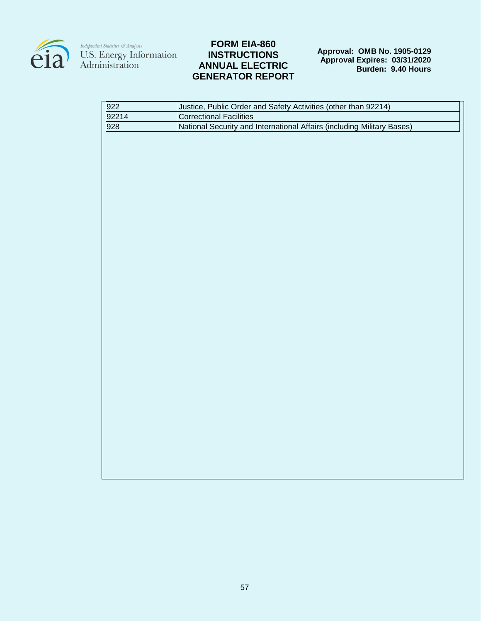

# **FORM EIA-860 INSTRUCTIONS ANNUAL ELECTRIC GENERATOR REPORT**

**Approval: OMB No. 1905-0129 Approval Expires: 03/31/2020 Burden: 9.40 Hours**

| 922   | Justice, Public Order and Safety Activities (other than 92214)         |
|-------|------------------------------------------------------------------------|
| 92214 | <b>Correctional Facilities</b>                                         |
| 928   | National Security and International Affairs (including Military Bases) |
|       |                                                                        |
|       |                                                                        |
|       |                                                                        |
|       |                                                                        |
|       |                                                                        |
|       |                                                                        |
|       |                                                                        |
|       |                                                                        |
|       |                                                                        |
|       |                                                                        |
|       |                                                                        |
|       |                                                                        |
|       |                                                                        |
|       |                                                                        |
|       |                                                                        |
|       |                                                                        |
|       |                                                                        |
|       |                                                                        |
|       |                                                                        |
|       |                                                                        |
|       |                                                                        |
|       |                                                                        |
|       |                                                                        |
|       |                                                                        |
|       |                                                                        |
|       |                                                                        |
|       |                                                                        |
|       |                                                                        |
|       |                                                                        |
|       |                                                                        |
|       |                                                                        |
|       |                                                                        |
|       |                                                                        |
|       |                                                                        |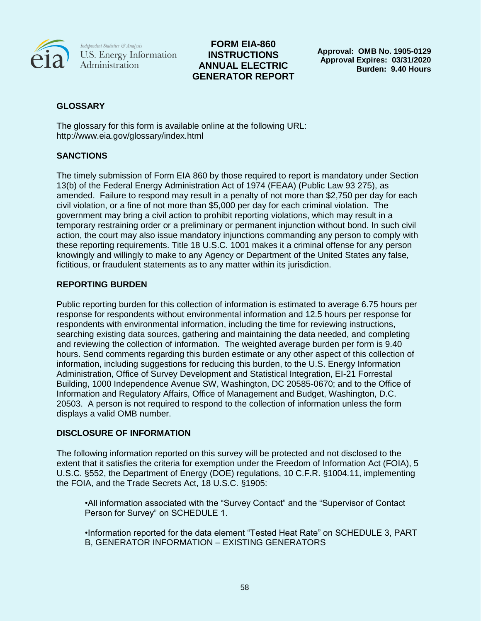

# **FORM EIA-860 INSTRUCTIONS ANNUAL ELECTRIC GENERATOR REPORT**

**Approval: OMB No. 1905-0129 Approval Expires: 03/31/2020 Burden: 9.40 Hours**

# **GLOSSARY**

The glossary for this form is available online at the following URL: http://www.eia.gov/glossary/index.html

# **SANCTIONS**

The timely submission of Form EIA 860 by those required to report is mandatory under Section 13(b) of the Federal Energy Administration Act of 1974 (FEAA) (Public Law 93 275), as amended. Failure to respond may result in a penalty of not more than \$2,750 per day for each civil violation, or a fine of not more than \$5,000 per day for each criminal violation. The government may bring a civil action to prohibit reporting violations, which may result in a temporary restraining order or a preliminary or permanent injunction without bond. In such civil action, the court may also issue mandatory injunctions commanding any person to comply with these reporting requirements. Title 18 U.S.C. 1001 makes it a criminal offense for any person knowingly and willingly to make to any Agency or Department of the United States any false, fictitious, or fraudulent statements as to any matter within its jurisdiction.

# **REPORTING BURDEN**

Public reporting burden for this collection of information is estimated to average 6.75 hours per response for respondents without environmental information and 12.5 hours per response for respondents with environmental information, including the time for reviewing instructions, searching existing data sources, gathering and maintaining the data needed, and completing and reviewing the collection of information. The weighted average burden per form is 9.40 hours. Send comments regarding this burden estimate or any other aspect of this collection of information, including suggestions for reducing this burden, to the U.S. Energy Information Administration, Office of Survey Development and Statistical Integration, EI-21 Forrestal Building, 1000 Independence Avenue SW, Washington, DC 20585-0670; and to the Office of Information and Regulatory Affairs, Office of Management and Budget, Washington, D.C. 20503. A person is not required to respond to the collection of information unless the form displays a valid OMB number.

# **DISCLOSURE OF INFORMATION**

The following information reported on this survey will be protected and not disclosed to the extent that it satisfies the criteria for exemption under the Freedom of Information Act (FOIA), 5 U.S.C. §552, the Department of Energy (DOE) regulations, 10 C.F.R. §1004.11, implementing the FOIA, and the Trade Secrets Act, 18 U.S.C. §1905:

•All information associated with the "Survey Contact" and the "Supervisor of Contact Person for Survey" on SCHEDULE 1.

•Information reported for the data element "Tested Heat Rate" on SCHEDULE 3, PART B, GENERATOR INFORMATION – EXISTING GENERATORS